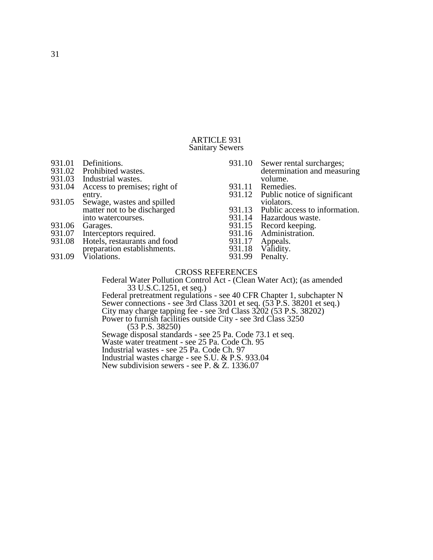### ARTICLE 931 Sanitary Sewers

- 931.01 Definitions.<br>931.02 Prohibited w
- 931.02 Prohibited wastes.<br>931.03 Industrial wastes.
- 931.03 Industrial wastes.<br>931.04 Access to premise
- Access to premises; right of entry.
- 931.05 Sewage, wastes and spilled matter not to be discharged into watercourses.
- 931.06 Garages.<br>931.07 Intercept
- 
- 931.07 Interceptors required.<br>931.08 Hotels, restaurants and Hotels, restaurants and food
- preparation establishments.
- 931.09 Violations.
- 931.10 Sewer rental surcharges; determination and measuring volume.
- 931.11 Remedies.<br>931.12 Public noti
- Public notice of significant violators.
- 931.13 Public access to information.<br>931.14 Hazardous waste.
- 931.14 Hazardous waste.<br>931.15 Record keeping.
- 931.15 Record keeping.<br>931.16 Administration.
- 931.16 Administration.<br>931.17 Appeals.
- 931.17 Appeals.<br>931.18 Validity.
- 931.18 Validity.<br>931.99 Penalty.
- Penalty.

### CROSS REFERENCES

Federal Water Pollution Control Act - (Clean Water Act); (as amended 33 U.S.C.1251, et seq.)

Federal pretreatment regulations - see 40 CFR Chapter 1, subchapter N Sewer connections - see 3rd Class 3201 et seq. (53 P.S. 38201 et seq.) City may charge tapping fee - see 3rd Class 3202 (53 P.S. 38202) Power to furnish facilities outside City - see 3rd Class 3250 (53 P.S. 38250)

Sewage disposal standards - see 25 Pa. Code 73.1 et seq.

Waste water treatment - see 25 Pa. Code Ch. 95

Industrial wastes - see 25 Pa. Code Ch. 97

Industrial wastes charge - see S.U. & P.S. 933.04

New subdivision sewers - see P. & Z. 1336.07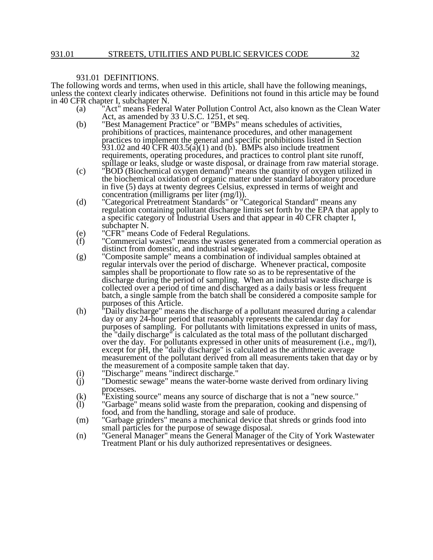# 931.01 DEFINITIONS.

The following words and terms, when used in this article, shall have the following meanings, unless the context clearly indicates otherwise. Definitions not found in this article may be found in 40 CFR chapter I, subchapter N.

- (a) "Act" means Federal Water Pollution Control Act, also known as the Clean Water Act, as amended by 33 U.S.C. 1251, et seq.
- (b) "Best Management Practice" or "BMPs" means schedules of activities, prohibitions of practices, maintenance procedures, and other management practices to implement the general and specific prohibitions listed in Section 931.02 and 40 CFR  $403.5(a)(1)$  and (b). BMPs also include treatment requirements, operating procedures, and practices to control plant site runoff, spillage or leaks, sludge or waste disposal, or drainage from raw material storage.
- (c) "BOD (Biochemical oxygen demand)" means the quantity of oxygen utilized in the biochemical oxidation of organic matter under standard laboratory procedure in five (5) days at twenty degrees Celsius, expressed in terms of weight and concentration (milligrams per liter (mg/l)).
- (d) "Categorical Pretreatment Standards" or "Categorical Standard" means any regulation containing pollutant discharge limits set forth by the EPA that apply to a specific category of Industrial Users and that appear in 40 CFR chapter I, subchapter N.
- (e) "CFR" means Code of Federal Regulations.<br>(f) "Commercial wastes" means the wastes gen
- "Commercial wastes" means the wastes generated from a commercial operation as distinct from domestic, and industrial sewage.
- (g) "Composite sample" means a combination of individual samples obtained at regular intervals over the period of discharge. Whenever practical, composite samples shall be proportionate to flow rate so as to be representative of the discharge during the period of sampling. When an industrial waste discharge is collected over a period of time and discharged as a daily basis or less frequent batch, a single sample from the batch shall be considered a composite sample for purposes of this Article.
- (h) "Daily discharge" means the discharge of a pollutant measured during a calendar day or any 24-hour period that reasonably represents the calendar day for purposes of sampling. For pollutants with limitations expressed in units of mass, the "daily discharge" is calculated as the total mass of the pollutant discharged over the day. For pollutants expressed in other units of measurement (i.e., mg/l), except for pH, the "daily discharge" is calculated as the arithmetic average measurement of the pollutant derived from all measurements taken that day or by the measurement of a composite sample taken that day.
- (i) "Discharge" means "indirect discharge."
- (i) "Discharge" means "indirect discharge."<br>(j) "Domestic sewage" means the water-borne waste derived from ordinary living processes.
- (k) "Existing source" means any source of discharge that is not a "new source."
- (k) "Existing source" means any source of discharge that is not a "new source."<br>(l) "Garbage" means solid waste from the preparation, cooking and dispensing of food, and from the handling, storage and sale of produce.
- (m) "Garbage grinders" means a mechanical device that shreds or grinds food into small particles for the purpose of sewage disposal.
- (n) "General Manager" means the General Manager of the City of York Wastewater Treatment Plant or his duly authorized representatives or designees.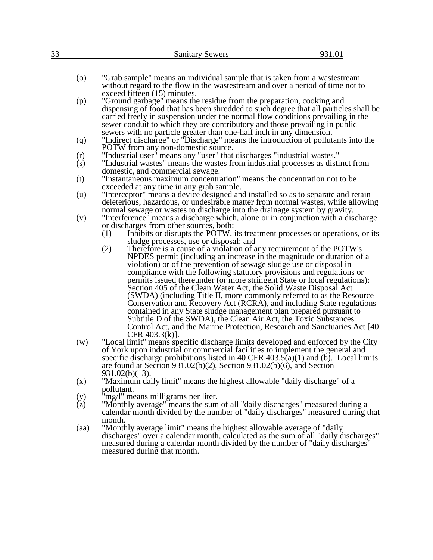|                    | 931.01<br><b>Sanitary Sewers</b>                                                     |  |
|--------------------|--------------------------------------------------------------------------------------|--|
|                    |                                                                                      |  |
|                    |                                                                                      |  |
| $\left( 0 \right)$ | "Grab sample" means an individual sample that is taken from a wastestream            |  |
|                    | without regard to the flow in the wastestream and over a period of time not to       |  |
|                    | exceed fifteen $(15)$ minutes.                                                       |  |
| (p)                | "Ground garbage" means the residue from the preparation, cooking and                 |  |
|                    | dispensing of food that has been shredded to such degree that all particles shall be |  |
|                    | carried freely in suspension under the normal flow conditions prevailing in the      |  |
|                    | sewer conduit to which they are contributory and those prevailing in public          |  |
|                    | sewers with no particle greater than one-half inch in any dimension.                 |  |
| (q)                | "Indirect discharge" or "Discharge" means the introduction of pollutants into the    |  |
|                    | POTW from any non-domestic source.                                                   |  |
| (r)                | "Industrial user" means any "user" that discharges "industrial wastes."              |  |
| (s)                | "Industrial wastes" means the wastes from industrial processes as distinct from      |  |
|                    | domestic, and commercial sewage.                                                     |  |
| (t)                | "Instantaneous maximum concentration" means the concentration not to be              |  |
|                    | exceeded at any time in any grab sample.                                             |  |
| (u)                | "Interceptor" means a device designed and installed so as to separate and retain     |  |
|                    | deleterious, hazardous, or undesirable matter from normal wastes, while allowing     |  |
|                    | normal sewage or wastes to discharge into the drainage system by gravity.            |  |
| (v)                | "Interference" means a discharge which, alone or in conjunction with a discharge     |  |
|                    | or discharges from other sources, both:                                              |  |
|                    |                                                                                      |  |
|                    | Inhibits or disrupts the POTW, its treatment processes or operations, or its<br>(1)  |  |
|                    | sludge processes, use or disposal; and                                               |  |
|                    | Therefore is a cause of a violation of any requirement of the POTW's<br>(2)          |  |
|                    | NPDES permit (including an increase in the magnitude or duration of a                |  |
|                    | violation) or of the prevention of sewage sludge use or disposal in                  |  |
|                    | compliance with the following statutory provisions and regulations or                |  |
|                    | permits issued thereunder (or more stringent State or local regulations):            |  |
|                    | Section 405 of the Clean Water Act, the Solid Waste Disposal Act                     |  |
|                    | (SWDA) (including Title II, more commonly referred to as the Resource                |  |
|                    | Conservation and Recovery Act (RCRA), and including State regulations                |  |
|                    | contained in any State sludge management plan prepared pursuant to                   |  |
|                    | Subtitle D of the SWDA), the Clean Air Act, the Toxic Substances                     |  |
|                    | Control Act, and the Marine Protection, Research and Sanctuaries Act [40]            |  |
|                    | CFR $403.3(k)$ ].                                                                    |  |
| (w)                | "Local limit" means specific discharge limits developed and enforced by the City     |  |
|                    | of York upon industrial or commercial facilities to implement the general and        |  |
|                    | specific discharge prohibitions listed in 40 CFR $403.5(a)(1)$ and (b). Local limits |  |
|                    | are found at Section $931.02(b)(2)$ , Section $931.02(b)(6)$ , and Section           |  |
|                    | $931.02(b)(13)$ .                                                                    |  |
| (x)                | "Maximum daily limit" means the highest allowable "daily discharge" of a             |  |
|                    | pollutant.                                                                           |  |
| (y)                | 'mg/l" means milligrams per liter.                                                   |  |
| (z)                | "Monthly average" means the sum of all "daily discharges" measured during a          |  |
|                    | calendar month divided by the number of "daily discharges" measured during that      |  |
|                    | month.                                                                               |  |
|                    |                                                                                      |  |
| (aa)               | "Monthly average limit" means the highest allowable average of "daily"               |  |
|                    | discharges" over a calendar month, calculated as the sum of all "daily discharges"   |  |
|                    | measured during a calendar month divided by the number of "daily discharges"         |  |
|                    | measured during that month.                                                          |  |
|                    |                                                                                      |  |
|                    |                                                                                      |  |
|                    |                                                                                      |  |
|                    |                                                                                      |  |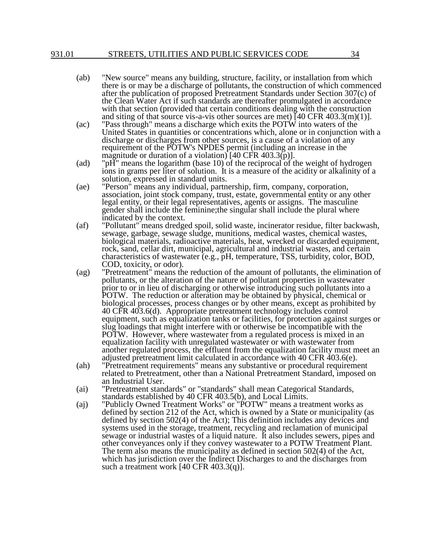### 931.01 STREETS, UTILITIES AND PUBLIC SERVICES CODE 34

- (ab) "New source" means any building, structure, facility, or installation from which there is or may be a discharge of pollutants, the construction of which commenced after the publication of proposed Pretreatment Standards under Section 307(c) of the Clean Water Act if such standards are thereafter promulgated in accordance with that section (provided that certain conditions dealing with the construction and siting of that source vis-a-vis other sources are met) [40 CFR 403.3(m)(1)].
- (ac) "Pass through" means a discharge which exits the POTW into waters of the United States in quantities or concentrations which, alone or in conjunction with a discharge or discharges from other sources, is a cause of a violation of any requirement of the POTW's NPDES permit (including an increase in the magnitude or duration of a violation) [40 CFR 403.3(p)].
- (ad) "pH" means the logarithm (base 10) of the reciprocal of the weight of hydrogen ions in grams per liter of solution. It is a measure of the acidity or alkalinity of a solution, expressed in standard units.
- (ae) "Person" means any individual, partnership, firm, company, corporation, association, joint stock company, trust, estate, governmental entity or any other legal entity, or their legal representatives, agents or assigns. The masculine gender shall include the feminine;the singular shall include the plural where indicated by the context.
- (af) "Pollutant" means dredged spoil, solid waste, incinerator residue, filter backwash, sewage, garbage, sewage sludge, munitions, medical wastes, chemical wastes, biological materials, radioactive materials, heat, wrecked or discarded equipment, rock, sand, cellar dirt, municipal, agricultural and industrial wastes, and certain characteristics of wastewater (e.g., pH, temperature, TSS, turbidity, color, BOD, COD, toxicity, or odor).
- (ag) "Pretreatment" means the reduction of the amount of pollutants, the elimination of pollutants, or the alteration of the nature of pollutant properties in wastewater prior to or in lieu of discharging or otherwise introducing such pollutants into a POTW. The reduction or alteration may be obtained by physical, chemical or biological processes, process changes or by other means, except as prohibited by 40 CFR 403.6(d). Appropriate pretreatment technology includes control equipment, such as equalization tanks or facilities, for protection against surges or slug loadings that might interfere with or otherwise be incompatible with the POTW. However, where wastewater from a regulated process is mixed in an equalization facility with unregulated wastewater or with wastewater from another regulated process, the effluent from the equalization facility must meet an adjusted pretreatment limit calculated in accordance with 40 CFR 403.6(e).
- (ah) "Pretreatment requirements" means any substantive or procedural requirement related to Pretreatment, other than a National Pretreatment Standard, imposed on an Industrial User.
- (ai) "Pretreatment standards" or "standards" shall mean Categorical Standards, standards established by 40 CFR 403.5(b), and Local Limits.
- (aj) "Publicly Owned Treatment Works" or "POTW" means a treatment works as defined by section 212 of the Act, which is owned by a State or municipality (as defined by section 502(4) of the Act); This definition includes any devices and systems used in the storage, treatment, recycling and reclamation of municipal sewage or industrial wastes of a liquid nature. It also includes sewers, pipes and other conveyances only if they convey wastewater to a POTW Treatment Plant. The term also means the municipality as defined in section 502(4) of the Act, which has jurisdiction over the Indirect Discharges to and the discharges from such a treatment work [40 CFR 403.3(q)].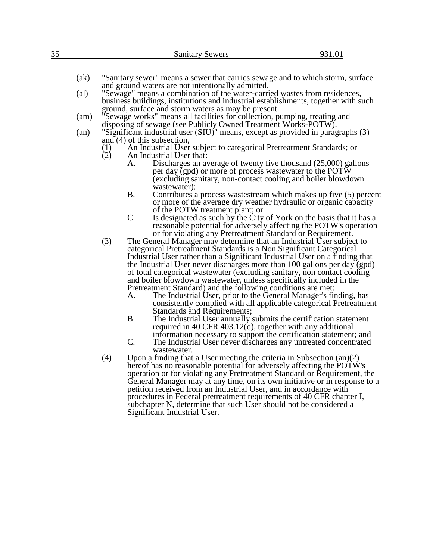| 35 |  |   | <b>Sanitary Sewers</b> |        |  | 1.VI |  |
|----|--|---|------------------------|--------|--|------|--|
|    |  |   |                        |        |  |      |  |
|    |  | . | $\sim$                 | $\sim$ |  | .    |  |

- (ak) "Sanitary sewer" means a sewer that carries sewage and to which storm, surface and ground waters are not intentionally admitted.
- (al) "Sewage" means a combination of the water-carried wastes from residences, business buildings, institutions and industrial establishments, together with such ground, surface and storm waters as may be present.
- (am) "Sewage works" means all facilities for collection, pumping, treating and disposing of sewage (see Publicly Owned Treatment Works-POTW).
- (an) "Significant industrial user (SIU)" means, except as provided in paragraphs (3) and (4) of this subsection,
	- (1) An Industrial User subject to categorical Pretreatment Standards; or (2) An Industrial User that:
	- An Industrial User that:
		- A. Discharges an average of twenty five thousand (25,000) gallons per day (gpd) or more of process wastewater to the POTW (excluding sanitary, non-contact cooling and boiler blowdown wastewater);
		- B. Contributes a process wastestream which makes up five (5) percent or more of the average dry weather hydraulic or organic capacity of the POTW treatment plant; or
		- C. Is designated as such by the City of York on the basis that it has a reasonable potential for adversely affecting the POTW's operation or for violating any Pretreatment Standard or Requirement.
	- (3) The General Manager may determine that an Industrial User subject to categorical Pretreatment Standards is a Non Significant Categorical Industrial User rather than a Significant Industrial User on a finding that the Industrial User never discharges more than 100 gallons per day (gpd) of total categorical wastewater (excluding sanitary, non contact cooling and boiler blowdown wastewater, unless specifically included in the Pretreatment Standard) and the following conditions are met:
		- A. The Industrial User, prior to the General Manager's finding, has consistently complied with all applicable categorical Pretreatment Standards and Requirements;
		- B. The Industrial User annually submits the certification statement required in 40 CFR 403.12(q), together with any additional information necessary to support the certification statement; and
		- C. The Industrial User never discharges any untreated concentrated wastewater.
	- (4) Upon a finding that a User meeting the criteria in Subsection  $(an)(2)$ hereof has no reasonable potential for adversely affecting the POTW's operation or for violating any Pretreatment Standard or Requirement, the General Manager may at any time, on its own initiative or in response to a petition received from an Industrial User, and in accordance with procedures in Federal pretreatment requirements of 40 CFR chapter I, subchapter N, determine that such User should not be considered a Significant Industrial User.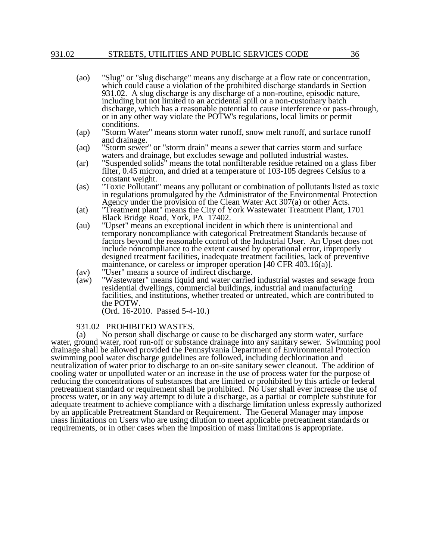### 931.02 STREETS, UTILITIES AND PUBLIC SERVICES CODE 36

- (ao) "Slug" or "slug discharge" means any discharge at a flow rate or concentration, which could cause a violation of the prohibited discharge standards in Section 931.02. A slug discharge is any discharge of a non-routine, episodic nature, including but not limited to an accidental spill or a non-customary batch discharge, which has a reasonable potential to cause interference or pass-through, or in any other way violate the POTW's regulations, local limits or permit conditions.
- (ap) "Storm Water" means storm water runoff, snow melt runoff, and surface runoff and drainage.
- (aq) "Storm sewer" or "storm drain" means a sewer that carries storm and surface waters and drainage, but excludes sewage and polluted industrial wastes.
- (ar) "Suspended solids" means the total nonfilterable residue retained on a glass fiber filter, 0.45 micron, and dried at a temperature of 103-105 degrees Celsius to a constant weight.
- (as) "Toxic Pollutant" means any pollutant or combination of pollutants listed as toxic in regulations promulgated by the Administrator of the Environmental Protection Agency under the provision of the Clean Water Act 307(a) or other Acts.
- (at) "Treatment plant" means the City of York Wastewater Treatment Plant, 1701 Black Bridge Road, York, PA 17402.
- (au) "Upset" means an exceptional incident in which there is unintentional and temporary noncompliance with categorical Pretreatment Standards because of factors beyond the reasonable control of the Industrial User. An Upset does not include noncompliance to the extent caused by operational error, improperly designed treatment facilities, inadequate treatment facilities, lack of preventive maintenance, or careless or improper operation [40 CFR 403.16(a)].
- (av) "User" means a source of indirect discharge.<br>(aw) "Wastewater" means liquid and water carried
- "Wastewater" means liquid and water carried industrial wastes and sewage from residential dwellings, commercial buildings, industrial and manufacturing facilities, and institutions, whether treated or untreated, which are contributed to the POTW.

(Ord. 16-2010. Passed 5-4-10.)

### 931.02 PROHIBITED WASTES.

(a) No person shall discharge or cause to be discharged any storm water, surface water, ground water, roof run-off or substance drainage into any sanitary sewer. Swimming pool drainage shall be allowed provided the Pennsylvania Department of Environmental Protection swimming pool water discharge guidelines are followed, including dechlorination and neutralization of water prior to discharge to an on-site sanitary sewer cleanout. The addition of cooling water or unpolluted water or an increase in the use of process water for the purpose of reducing the concentrations of substances that are limited or prohibited by this article or federal pretreatment standard or requirement shall be prohibited. No User shall ever increase the use of process water, or in any way attempt to dilute a discharge, as a partial or complete substitute for adequate treatment to achieve compliance with a discharge limitation unless expressly authorized by an applicable Pretreatment Standard or Requirement. The General Manager may impose mass limitations on Users who are using dilution to meet applicable pretreatment standards or requirements, or in other cases when the imposition of mass limitations is appropriate.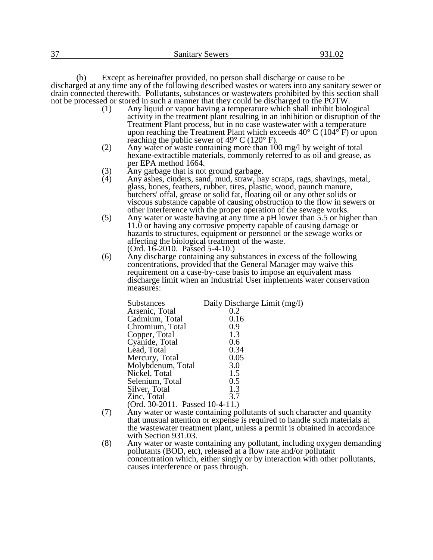(b) Except as hereinafter provided, no person shall discharge or cause to be discharged at any time any of the following described wastes or waters into any sanitary sewer or drain connected therewith. Pollutants, substances or wastewaters prohibited by this section shall not be processed or stored in such a manner that they could be discharged to the POTW.<br>(1) Any liquid or vapor having a temperature which shall inhibit biology

- Any liquid or vapor having a temperature which shall inhibit biological activity in the treatment plant resulting in an inhibition or disruption of the Treatment Plant process, but in no case wastewater with a temperature upon reaching the Treatment Plant which exceeds  $40^{\circ}$  C ( $104^{\circ}$  F) or upon reaching the public sewer of 49° C (120° F).
- (2) Any water or waste containing more than 100 mg/l by weight of total hexane-extractible materials, commonly referred to as oil and grease, as per EPA method 1664.
- (3) Any garbage that is not ground garbage.
- (4) Any ashes, cinders, sand, mud, straw, hay scraps, rags, shavings, metal, glass, bones, feathers, rubber, tires, plastic, wood, paunch manure, butchers' offal, grease or solid fat, floating oil or any other solids or viscous substance capable of causing obstruction to the flow in sewers or other interference with the proper operation of the sewage works.
- (5) Any water or waste having at any time a pH lower than 5.5 or higher than 11.0 or having any corrosive property capable of causing damage or hazards to structures, equipment or personnel or the sewage works or affecting the biological treatment of the waste. (Ord. 16-2010. Passed 5-4-10.)
- (6) Any discharge containing any substances in excess of the following concentrations, provided that the General Manager may waive this requirement on a case-by-case basis to impose an equivalent mass discharge limit when an Industrial User implements water conservation measures:

| Substances                      | Daily Discharge Limit (mg/l) |
|---------------------------------|------------------------------|
| Arsenic, Total                  | 0.2                          |
| Cadmium, Total                  | 0.16                         |
| Chromium, Total                 | 0.9                          |
| Copper, Total                   | 1.3                          |
| Cyanide, Total                  | 0.6                          |
| Lead, Total                     | 0.34                         |
| Mercury, Total                  | 0.05                         |
| Molybdenum, Total               | 3.0                          |
| Nickel, Total                   | 1.5                          |
| Selenium, Total                 | 0.5                          |
| Silver, Total                   | 1.3                          |
| Zinc, Total                     | 3.7                          |
| (Ord. 30-2011. Passed 10-4-11.) |                              |

- (7) Any water or waste containing pollutants of such character and quantity that unusual attention or expense is required to handle such materials at the wastewater treatment plant, unless a permit is obtained in accordance with Section 931.03.
- (8) Any water or waste containing any pollutant, including oxygen demanding pollutants (BOD, etc), released at a flow rate and/or pollutant concentration which, either singly or by interaction with other pollutants, causes interference or pass through.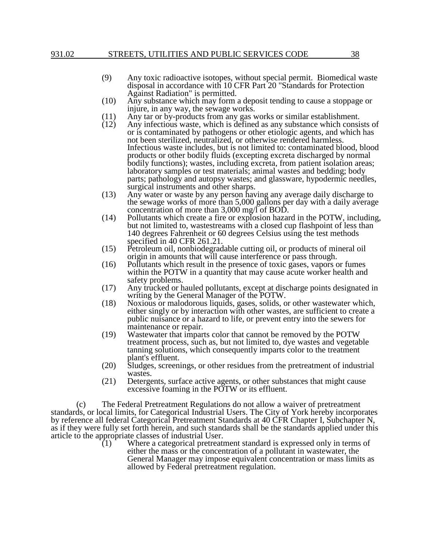- (9) Any toxic radioactive isotopes, without special permit. Biomedical waste disposal in accordance with 10 CFR Part 20 "Standards for Protection Against Radiation" is permitted.
- (10) Any substance which may form a deposit tending to cause a stoppage or injure, in any way, the sewage works.
- (11) Any tar or by-products from any gas works or similar establishment.<br>(12) Any infectious waste, which is defined as any substance which consi
- Any infectious waste, which is defined as any substance which consists of or is contaminated by pathogens or other etiologic agents, and which has not been sterilized, neutralized, or otherwise rendered harmless. Infectious waste includes, but is not limited to: contaminated blood, blood products or other bodily fluids (excepting excreta discharged by normal bodily functions); wastes, including excreta, from patient isolation areas; laboratory samples or test materials; animal wastes and bedding; body parts; pathology and autopsy wastes; and glassware, hypodermic needles, surgical instruments and other sharps.
- (13) Any water or waste by any person having any average daily discharge to the sewage works of more than 5,000 gallons per day with a daily average concentration of more than 3,000 mg/l of BOD.
- (14) Pollutants which create a fire or explosion hazard in the POTW, including, but not limited to, wastestreams with a closed cup flashpoint of less than 140 degrees Fahrenheit or 60 degrees Celsius using the test methods specified in 40 CFR 261.21.
- (15) Petroleum oil, nonbiodegradable cutting oil, or products of mineral oil origin in amounts that will cause interference or pass through.
- (16) Pollutants which result in the presence of toxic gases, vapors or fumes within the POTW in a quantity that may cause acute worker health and safety problems.
- (17) Any trucked or hauled pollutants, except at discharge points designated in writing by the General Manager of the POTW.
- (18) Noxious or malodorous liquids, gases, solids, or other wastewater which, either singly or by interaction with other wastes, are sufficient to create a public nuisance or a hazard to life, or prevent entry into the sewers for maintenance or repair.
- (19) Wastewater that imparts color that cannot be removed by the POTW treatment process, such as, but not limited to, dye wastes and vegetable tanning solutions, which consequently imparts color to the treatment plant's effluent.
- (20) Sludges, screenings, or other residues from the pretreatment of industrial wastes.
- (21) Detergents, surface active agents, or other substances that might cause excessive foaming in the POTW or its effluent.

(c) The Federal Pretreatment Regulations do not allow a waiver of pretreatment standards, or local limits, for Categorical Industrial Users. The City of York hereby incorporates by reference all federal Categorical Pretreatment Standards at 40 CFR Chapter I, Subchapter N, as if they were fully set forth herein, and such standards shall be the standards applied under this article to the appropriate classes of industrial User.<br>(1) Where a categorical pretreati

Where a categorical pretreatment standard is expressed only in terms of either the mass or the concentration of a pollutant in wastewater, the General Manager may impose equivalent concentration or mass limits as allowed by Federal pretreatment regulation.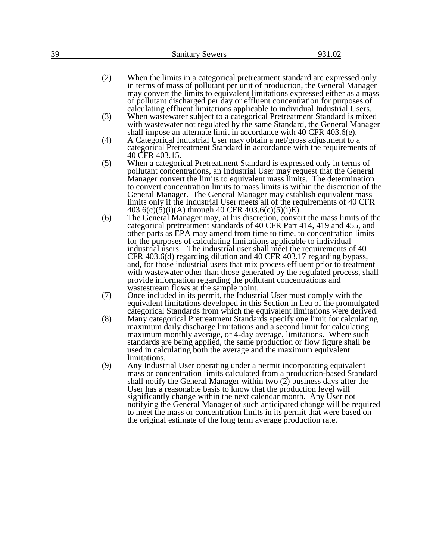- (2) When the limits in a categorical pretreatment standard are expressed only in terms of mass of pollutant per unit of production, the General Manager may convert the limits to equivalent limitations expressed either as a mass of pollutant discharged per day or effluent concentration for purposes of calculating effluent limitations applicable to individual Industrial Users.
- (3) When wastewater subject to a categorical Pretreatment Standard is mixed with wastewater not regulated by the same Standard, the General Manager shall impose an alternate limit in accordance with 40 CFR 403.6(e).
- (4) A Categorical Industrial User may obtain a net/gross adjustment to a categorical Pretreatment Standard in accordance with the requirements of 40 CFR 403.15.
- (5) When a categorical Pretreatment Standard is expressed only in terms of pollutant concentrations, an Industrial User may request that the General Manager convert the limits to equivalent mass limits. The determination to convert concentration limits to mass limits is within the discretion of the General Manager. The General Manager may establish equivalent mass limits only if the Industrial User meets all of the requirements of 40 CFR  $403.6(c)(5)(i)(A)$  through 40 CFR  $403.6(c)(5)(i)E$ .
- (6) The General Manager may, at his discretion, convert the mass limits of the categorical pretreatment standards of 40 CFR Part 414, 419 and 455, and other parts as EPA may amend from time to time, to concentration limits for the purposes of calculating limitations applicable to individual industrial users. The industrial user shall meet the requirements of 40 CFR 403.6(d) regarding dilution and 40 CFR 403.17 regarding bypass, and, for those industrial users that mix process effluent prior to treatment with wastewater other than those generated by the regulated process, shall provide information regarding the pollutant concentrations and wastestream flows at the sample point.
- (7) Once included in its permit, the Industrial User must comply with the equivalent limitations developed in this Section in lieu of the promulgated categorical Standards from which the equivalent limitations were derived.
- (8) Many categorical Pretreatment Standards specify one limit for calculating maximum daily discharge limitations and a second limit for calculating maximum monthly average, or 4-day average, limitations. Where such standards are being applied, the same production or flow figure shall be used in calculating both the average and the maximum equivalent limitations.
- (9) Any Industrial User operating under a permit incorporating equivalent mass or concentration limits calculated from a production-based Standard shall notify the General Manager within two (2) business days after the User has a reasonable basis to know that the production level will significantly change within the next calendar month. Any User not notifying the General Manager of such anticipated change will be required to meet the mass or concentration limits in its permit that were based on the original estimate of the long term average production rate.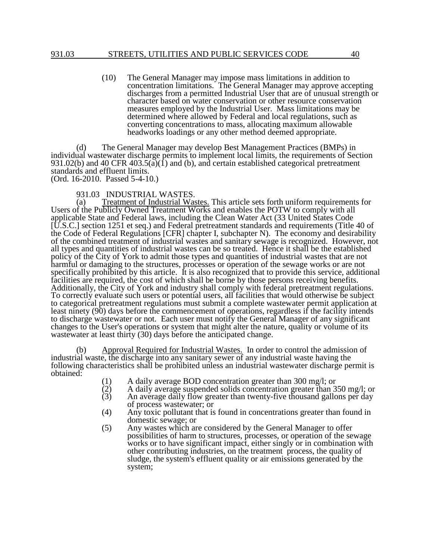(10) The General Manager may impose mass limitations in addition to concentration limitations. The General Manager may approve accepting discharges from a permitted Industrial User that are of unusual strength or character based on water conservation or other resource conservation measures employed by the Industrial User. Mass limitations may be determined where allowed by Federal and local regulations, such as converting concentrations to mass, allocating maximum allowable headworks loadings or any other method deemed appropriate.

(d) The General Manager may develop Best Management Practices (BMPs) in individual wastewater discharge permits to implement local limits, the requirements of Section 931.02(b) and 40 CFR 403.5( $\tilde{a}$ )(1) and (b), and certain established categorical pretreatment standards and effluent limits. (Ord. 16-2010. Passed 5-4-10.)

931.03 INDUSTRIAL WASTES.

(a) Treatment of Industrial Wastes. This article sets forth uniform requirements for Users of the Publicly Owned Treatment Works and enables the POTW to comply with all applicable State and Federal laws, including the Clean Water Act (33 United States Code [U.S.C.] section 1251 et seq.) and Federal pretreatment standards and requirements (Title 40 of the Code of Federal Regulations [CFR] chapter I, subchapter N). The economy and desirability of the combined treatment of industrial wastes and sanitary sewage is recognized. However, not all types and quantities of industrial wastes can be so treated. Hence it shall be the established policy of the City of York to admit those types and quantities of industrial wastes that are not harmful or damaging to the structures, processes or operation of the sewage works or are not specifically prohibited by this article. It is also recognized that to provide this service, additional facilities are required, the cost of which shall be borne by those persons receiving benefits. Additionally, the City of York and industry shall comply with federal pretreatment regulations. To correctly evaluate such users or potential users, all facilities that would otherwise be subject to categorical pretreatment regulations must submit a complete wastewater permit application at least ninety (90) days before the commencement of operations, regardless if the facility intends to discharge wastewater or not. Each user must notify the General Manager of any significant changes to the User's operations or system that might alter the nature, quality or volume of its wastewater at least thirty (30) days before the anticipated change.

(b) Approval Required for Industrial Wastes. In order to control the admission of industrial waste, the discharge into any sanitary sewer of any industrial waste having the following characteristics shall be prohibited unless an industrial wastewater discharge permit is obtained:

- (1) A daily average BOD concentration greater than 300 mg/l; or
- $(2)$  A daily average suspended solids concentration greater than 350 mg/l; or An average daily flow greater than twenty-five thousand gallons per day
- An average daily flow greater than twenty-five thousand gallons per day of process wastewater; or
- (4) Any toxic pollutant that is found in concentrations greater than found in domestic sewage; or
- (5) Any wastes which are considered by the General Manager to offer possibilities of harm to structures, processes, or operation of the sewage works or to have significant impact, either singly or in combination with other contributing industries, on the treatment process, the quality of sludge, the system's effluent quality or air emissions generated by the system;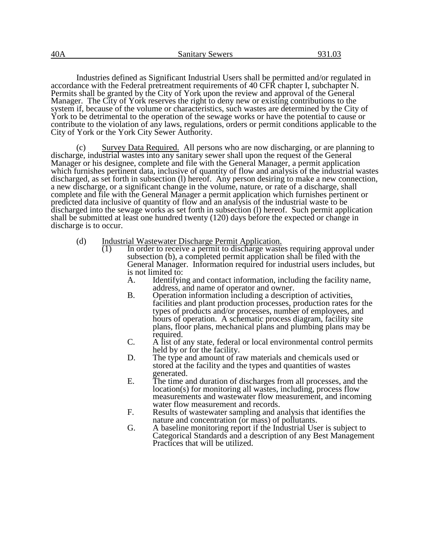Industries defined as Significant Industrial Users shall be permitted and/or regulated in accordance with the Federal pretreatment requirements of 40 CFR chapter I, subchapter N. Permits shall be granted by the City of York upon the review and approval of the General Manager. The City of York reserves the right to deny new or existing contributions to the system if, because of the volume or characteristics, such wastes are determined by the City of York to be detrimental to the operation of the sewage works or have the potential to cause or contribute to the violation of any laws, regulations, orders or permit conditions applicable to the City of York or the York City Sewer Authority.

(c) Survey Data Required. All persons who are now discharging, or are planning to discharge, industrial wastes into any sanitary sewer shall upon the request of the General Manager or his designee, complete and file with the General Manager, a permit application which furnishes pertinent data, inclusive of quantity of flow and analysis of the industrial wastes discharged, as set forth in subsection (l) hereof. Any person desiring to make a new connection, a new discharge, or a significant change in the volume, nature, or rate of a discharge, shall complete and file with the General Manager a permit application which furnishes pertinent or predicted data inclusive of quantity of flow and an analysis of the industrial waste to be discharged into the sewage works as set forth in subsection (1) hereof. Such permit application shall be submitted at least one hundred twenty (120) days before the expected or change in discharge is to occur.

- (d) Industrial Wastewater Discharge Permit Application.<br>
(1) In order to receive a permit to discharge waste
	- In order to receive a permit to discharge wastes requiring approval under subsection (b), a completed permit application shall be filed with the General Manager. Information required for industrial users includes, but is not limited to:<br>A. Identifyin
		- Identifying and contact information, including the facility name, address, and name of operator and owner.
		- B. Operation information including a description of activities, facilities and plant production processes, production rates for the types of products and/or processes, number of employees, and hours of operation. A schematic process diagram, facility site plans, floor plans, mechanical plans and plumbing plans may be required.
		- C. A list of any state, federal or local environmental control permits held by or for the facility.
		- D. The type and amount of raw materials and chemicals used or stored at the facility and the types and quantities of wastes generated.
		- E. The time and duration of discharges from all processes, and the location(s) for monitoring all wastes, including, process flow measurements and wastewater flow measurement, and incoming water flow measurement and records.
		- F. Results of wastewater sampling and analysis that identifies the nature and concentration (or mass) of pollutants.
		- G. A baseline monitoring report if the Industrial User is subject to Categorical Standards and a description of any Best Management Practices that will be utilized.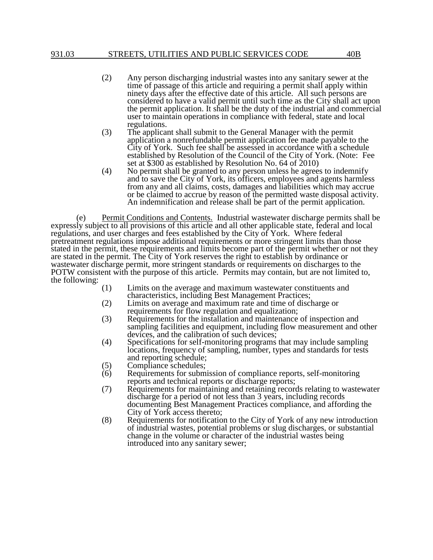- (2) Any person discharging industrial wastes into any sanitary sewer at the time of passage of this article and requiring a permit shall apply within ninety days after the effective date of this article. All such persons are considered to have a valid permit until such time as the City shall act upon the permit application. It shall be the duty of the industrial and commercial user to maintain operations in compliance with federal, state and local regulations.
- (3) The applicant shall submit to the General Manager with the permit application a nonrefundable permit application fee made payable to the City of York. Such fee shall be assessed in accordance with a schedule established by Resolution of the Council of the City of York. (Note: Fee set at \$300 as established by Resolution No. 64 of 2010)
- (4) No permit shall be granted to any person unless he agrees to indemnify and to save the City of York, its officers, employees and agents harmless from any and all claims, costs, damages and liabilities which may accrue or be claimed to accrue by reason of the permitted waste disposal activity. An indemnification and release shall be part of the permit application.

(e) Permit Conditions and Contents. Industrial wastewater discharge permits shall be expressly subject to all provisions of this article and all other applicable state, federal and local regulations, and user charges and fees established by the City of York. Where federal pretreatment regulations impose additional requirements or more stringent limits than those stated in the permit, these requirements and limits become part of the permit whether or not they are stated in the permit. The City of York reserves the right to establish by ordinance or wastewater discharge permit, more stringent standards or requirements on discharges to the POTW consistent with the purpose of this article. Permits may contain, but are not limited to, the following:

- (1) Limits on the average and maximum wastewater constituents and characteristics, including Best Management Practices;
- (2) Limits on average and maximum rate and time of discharge or requirements for flow regulation and equalization;
- (3) Requirements for the installation and maintenance of inspection and sampling facilities and equipment, including flow measurement and other devices, and the calibration of such devices;
- (4) Specifications for self-monitoring programs that may include sampling locations, frequency of sampling, number, types and standards for tests and reporting schedule;
- (5) Compliance schedules;<br>(6) Requirements for subm
- Requirements for submission of compliance reports, self-monitoring reports and technical reports or discharge reports;
- (7) Requirements for maintaining and retaining records relating to wastewater discharge for a period of not less than 3 years, including records documenting Best Management Practices compliance, and affording the City of York access thereto;
- (8) Requirements for notification to the City of York of any new introduction of industrial wastes, potential problems or slug discharges, or substantial change in the volume or character of the industrial wastes being introduced into any sanitary sewer;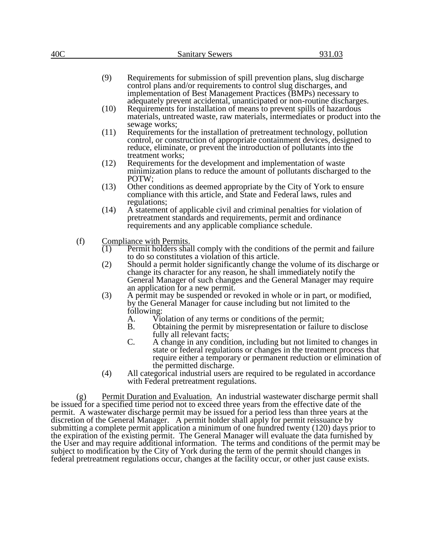| 40C                                                                                                                                                                                      |                                                                                 | <b>Sanitary Sewers</b>                                                                                                                                                                                                                                                                                             | 931.03 |  |  |  |
|------------------------------------------------------------------------------------------------------------------------------------------------------------------------------------------|---------------------------------------------------------------------------------|--------------------------------------------------------------------------------------------------------------------------------------------------------------------------------------------------------------------------------------------------------------------------------------------------------------------|--------|--|--|--|
|                                                                                                                                                                                          |                                                                                 |                                                                                                                                                                                                                                                                                                                    |        |  |  |  |
|                                                                                                                                                                                          | (9)                                                                             | Requirements for submission of spill prevention plans, slug discharge<br>control plans and/or requirements to control slug discharges, and<br>implementation of Best Management Practices (BMPs) necessary to<br>adequately prevent accidental, unanticipated or non-routine discharges.                           |        |  |  |  |
|                                                                                                                                                                                          | (10)                                                                            | Requirements for installation of means to prevent spills of hazardous<br>materials, untreated waste, raw materials, intermediates or product into the<br>sewage works;                                                                                                                                             |        |  |  |  |
|                                                                                                                                                                                          | (11)                                                                            | Requirements for the installation of pretreatment technology, pollution<br>control, or construction of appropriate containment devices, designed to<br>reduce, eliminate, or prevent the introduction of pollutants into the<br>treatment works;                                                                   |        |  |  |  |
|                                                                                                                                                                                          | (12)                                                                            | Requirements for the development and implementation of waste<br>minimization plans to reduce the amount of pollutants discharged to the<br>POTW;                                                                                                                                                                   |        |  |  |  |
|                                                                                                                                                                                          | (13)                                                                            | Other conditions as deemed appropriate by the City of York to ensure<br>compliance with this article, and State and Federal laws, rules and<br>regulations;                                                                                                                                                        |        |  |  |  |
|                                                                                                                                                                                          | (14)                                                                            | A statement of applicable civil and criminal penalties for violation of<br>pretreatment standards and requirements, permit and ordinance<br>requirements and any applicable compliance schedule.                                                                                                                   |        |  |  |  |
| (f)<br>Compliance with Permits.                                                                                                                                                          |                                                                                 |                                                                                                                                                                                                                                                                                                                    |        |  |  |  |
|                                                                                                                                                                                          | (1)                                                                             | Permit holders shall comply with the conditions of the permit and failure                                                                                                                                                                                                                                          |        |  |  |  |
|                                                                                                                                                                                          | (2)                                                                             | to do so constitutes a violation of this article.<br>Should a permit holder significantly change the volume of its discharge or<br>change its character for any reason, he shall immediately notify the<br>General Manager of such changes and the General Manager may require<br>an application for a new permit. |        |  |  |  |
|                                                                                                                                                                                          | (3)                                                                             | A permit may be suspended or revoked in whole or in part, or modified,<br>by the General Manager for cause including but not limited to the<br>following:                                                                                                                                                          |        |  |  |  |
|                                                                                                                                                                                          |                                                                                 | А.<br>Violation of any terms or conditions of the permit;                                                                                                                                                                                                                                                          |        |  |  |  |
|                                                                                                                                                                                          |                                                                                 | <b>B.</b><br>Obtaining the permit by misrepresentation or failure to disclose                                                                                                                                                                                                                                      |        |  |  |  |
|                                                                                                                                                                                          |                                                                                 | fully all relevant facts;<br>C.<br>A change in any condition, including but not limited to changes in                                                                                                                                                                                                              |        |  |  |  |
|                                                                                                                                                                                          |                                                                                 | state or federal regulations or changes in the treatment process that<br>require either a temporary or permanent reduction or elimination of<br>the permitted discharge.                                                                                                                                           |        |  |  |  |
|                                                                                                                                                                                          | (4)                                                                             | All categorical industrial users are required to be regulated in accordance<br>with Federal pretreatment regulations.                                                                                                                                                                                              |        |  |  |  |
| (g)                                                                                                                                                                                      | Permit Duration and Evaluation. An industrial wastewater discharge permit shall |                                                                                                                                                                                                                                                                                                                    |        |  |  |  |
| be issued for a specified time period not to exceed three years from the effective date of the                                                                                           |                                                                                 |                                                                                                                                                                                                                                                                                                                    |        |  |  |  |
| permit. A wastewater discharge permit may be issued for a period less than three years at the<br>discretion of the General Manager. A permit holder shall apply for permit reissuance by |                                                                                 |                                                                                                                                                                                                                                                                                                                    |        |  |  |  |
| submitting a complete permit application a minimum of one hundred twenty (120) days prior to                                                                                             |                                                                                 |                                                                                                                                                                                                                                                                                                                    |        |  |  |  |
| the expiration of the existing permit. The General Manager will evaluate the data furnished by                                                                                           |                                                                                 |                                                                                                                                                                                                                                                                                                                    |        |  |  |  |

the User and may require additional information. The terms and conditions of the permit may be subject to modification by the City of York during the term of the permit should changes in federal pretreatment regulations occur, changes at the facility occur, or other just cause exists.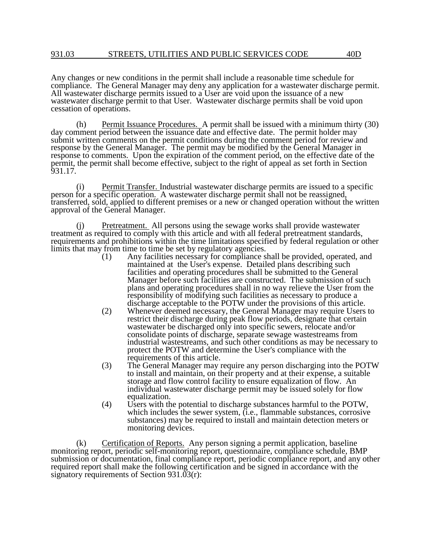Any changes or new conditions in the permit shall include a reasonable time schedule for compliance. The General Manager may deny any application for a wastewater discharge permit. All wastewater discharge permits issued to a User are void upon the issuance of a new wastewater discharge permit to that User. Wastewater discharge permits shall be void upon cessation of operations.

(h) Permit Issuance Procedures. A permit shall be issued with a minimum thirty (30) day comment period between the issuance date and effective date. The permit holder may submit written comments on the permit conditions during the comment period for review and response by the General Manager. The permit may be modified by the General Manager in response to comments. Upon the expiration of the comment period, on the effective date of the permit, the permit shall become effective, subject to the right of appeal as set forth in Section 931.17.

(i) Permit Transfer. Industrial wastewater discharge permits are issued to a specific person for a specific operation. A wastewater discharge permit shall not be reassigned, transferred, sold, applied to different premises or a new or changed operation without the written approval of the General Manager.

(j) Pretreatment. All persons using the sewage works shall provide wastewater treatment as required to comply with this article and with all federal pretreatment standards, requirements and prohibitions within the time limitations specified by federal regulation or other limits that may from time to time be set by regulatory agencies.

- (1) Any facilities necessary for compliance shall be provided, operated, and maintained at the User's expense. Detailed plans describing such facilities and operating procedures shall be submitted to the General Manager before such facilities are constructed. The submission of such plans and operating procedures shall in no way relieve the User from the responsibility of modifying such facilities as necessary to produce a discharge acceptable to the POTW under the provisions of this article.
- (2) Whenever deemed necessary, the General Manager may require Users to restrict their discharge during peak flow periods, designate that certain wastewater be discharged only into specific sewers, relocate and/or consolidate points of discharge, separate sewage wastestreams from industrial wastestreams, and such other conditions as may be necessary to protect the POTW and determine the User's compliance with the requirements of this article.
- (3) The General Manager may require any person discharging into the POTW to install and maintain, on their property and at their expense, a suitable storage and flow control facility to ensure equalization of flow. An individual wastewater discharge permit may be issued solely for flow equalization.
- (4) Users with the potential to discharge substances harmful to the POTW, which includes the sewer system, (i.e., flammable substances, corrosive substances) may be required to install and maintain detection meters or monitoring devices.

(k) Certification of Reports. Any person signing a permit application, baseline monitoring report, periodic self-monitoring report, questionnaire, compliance schedule, BMP submission or documentation, final compliance report, periodic compliance report, and any other required report shall make the following certification and be signed in accordance with the signatory requirements of Section 931.03(r):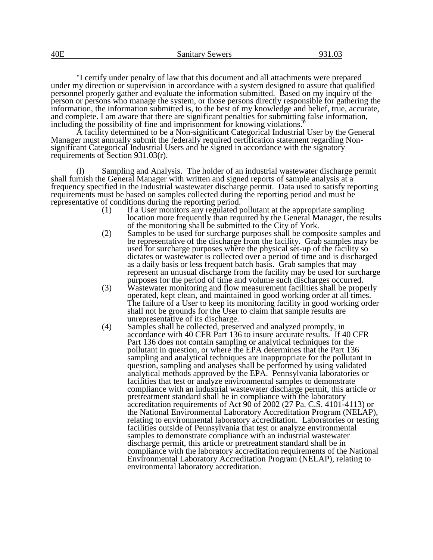"I certify under penalty of law that this document and all attachments were prepared under my direction or supervision in accordance with a system designed to assure that qualified personnel properly gather and evaluate the information submitted. Based on my inquiry of the person or persons who manage the system, or those persons directly responsible for gathering the information, the information submitted is, to the best of my knowledge and belief, true, accurate, and complete. I am aware that there are significant penalties for submitting false information, including the possibility of fine and imprisonment for knowing violations."

A facility determined to be a Non-significant Categorical Industrial User by the General Manager must annually submit the federally required certification statement regarding Nonsignificant Categorical Industrial Users and be signed in accordance with the signatory requirements of Section 931.03(r).

(l) Sampling and Analysis. The holder of an industrial wastewater discharge permit shall furnish the General Manager with written and signed reports of sample analysis at a frequency specified in the industrial wastewater discharge permit. Data used to satisfy reporting requirements must be based on samples collected during the reporting period and must be representative of conditions during the reporting period.

- (1) If a User monitors any regulated pollutant at the appropriate sampling location more frequently than required by the General Manager, the results of the monitoring shall be submitted to the City of York.
- (2) Samples to be used for surcharge purposes shall be composite samples and be representative of the discharge from the facility. Grab samples may be used for surcharge purposes where the physical set-up of the facility so dictates or wastewater is collected over a period of time and is discharged as a daily basis or less frequent batch basis. Grab samples that may represent an unusual discharge from the facility may be used for surcharge purposes for the period of time and volume such discharges occurred.
- (3) Wastewater monitoring and flow measurement facilities shall be properly operated, kept clean, and maintained in good working order at all times. The failure of a User to keep its monitoring facility in good working order shall not be grounds for the User to claim that sample results are unrepresentative of its discharge.
- (4) Samples shall be collected, preserved and analyzed promptly, in accordance with 40 CFR Part 136 to insure accurate results. If 40 CFR Part 136 does not contain sampling or analytical techniques for the pollutant in question, or where the EPA determines that the Part 136 sampling and analytical techniques are inappropriate for the pollutant in question, sampling and analyses shall be performed by using validated analytical methods approved by the EPA. Pennsylvania laboratories or facilities that test or analyze environmental samples to demonstrate compliance with an industrial wastewater discharge permit, this article or pretreatment standard shall be in compliance with the laboratory accreditation requirements of Act 90 of 2002 (27 Pa. C.S. 4101-4113) or the National Environmental Laboratory Accreditation Program (NELAP), relating to environmental laboratory accreditation. Laboratories or testing facilities outside of Pennsylvania that test or analyze environmental samples to demonstrate compliance with an industrial wastewater discharge permit, this article or pretreatment standard shall be in compliance with the laboratory accreditation requirements of the National Environmental Laboratory Accreditation Program (NELAP), relating to environmental laboratory accreditation.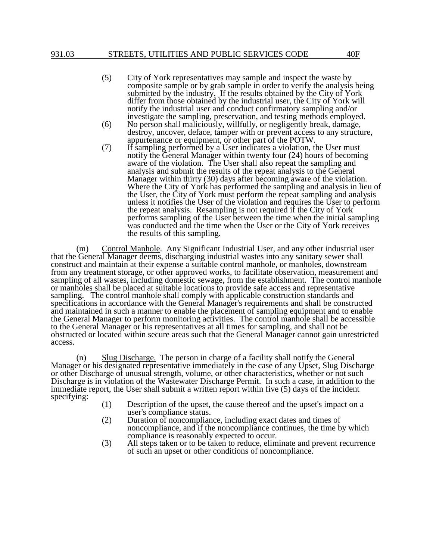- (5) City of York representatives may sample and inspect the waste by composite sample or by grab sample in order to verify the analysis being submitted by the industry. If the results obtained by the City of York differ from those obtained by the industrial user, the City of York will notify the industrial user and conduct confirmatory sampling and/or investigate the sampling, preservation, and testing methods employed.
- (6) No person shall maliciously, willfully, or negligently break, damage, destroy, uncover, deface, tamper with or prevent access to any structure, appurtenance or equipment, or other part of the POTW.
- (7) If sampling performed by a User indicates a violation, the User must notify the General Manager within twenty four (24) hours of becoming aware of the violation. The User shall also repeat the sampling and analysis and submit the results of the repeat analysis to the General Manager within thirty (30) days after becoming aware of the violation. Where the City of York has performed the sampling and analysis in lieu of the User, the City of York must perform the repeat sampling and analysis unless it notifies the User of the violation and requires the User to perform the repeat analysis. Resampling is not required if the City of York performs sampling of the User between the time when the initial sampling was conducted and the time when the User or the City of York receives the results of this sampling.

(m) Control Manhole. Any Significant Industrial User, and any other industrial user that the General Manager deems, discharging industrial wastes into any sanitary sewer shall construct and maintain at their expense a suitable control manhole, or manholes, downstream from any treatment storage, or other approved works, to facilitate observation, measurement and sampling of all wastes, including domestic sewage, from the establishment. The control manhole or manholes shall be placed at suitable locations to provide safe access and representative sampling. The control manhole shall comply with applicable construction standards and specifications in accordance with the General Manager's requirements and shall be constructed and maintained in such a manner to enable the placement of sampling equipment and to enable the General Manager to perform monitoring activities. The control manhole shall be accessible to the General Manager or his representatives at all times for sampling, and shall not be obstructed or located within secure areas such that the General Manager cannot gain unrestricted access.

(n) Slug Discharge. The person in charge of a facility shall notify the General Manager or his designated representative immediately in the case of any Upset, Slug Discharge or other Discharge of unusual strength, volume, or other characteristics, whether or not such Discharge is in violation of the Wastewater Discharge Permit. In such a case, in addition to the immediate report, the User shall submit a written report within five (5) days of the incident specifying:

- (1) Description of the upset, the cause thereof and the upset's impact on a user's compliance status.
- (2) Duration of noncompliance, including exact dates and times of noncompliance, and if the noncompliance continues, the time by which compliance is reasonably expected to occur.
- (3) All steps taken or to be taken to reduce, eliminate and prevent recurrence of such an upset or other conditions of noncompliance.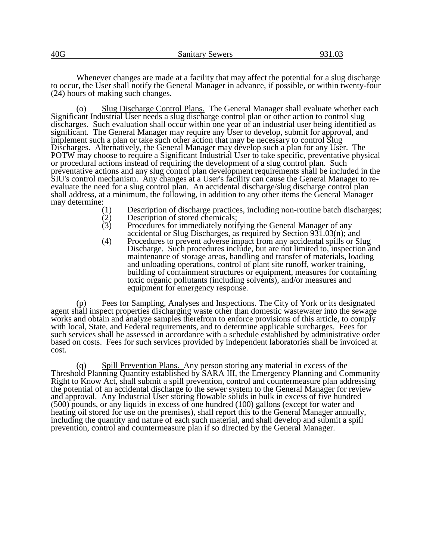Whenever changes are made at a facility that may affect the potential for a slug discharge to occur, the User shall notify the General Manager in advance, if possible, or within twenty-four (24) hours of making such changes.

(o) Slug Discharge Control Plans. The General Manager shall evaluate whether each Significant Industrial User needs a slug discharge control plan or other action to control slug discharges. Such evaluation shall occur within one year of an industrial user being identified as significant. The General Manager may require any User to develop, submit for approval, and implement such a plan or take such other action that may be necessary to control Slug Discharges. Alternatively, the General Manager may develop such a plan for any User. The POTW may choose to require a Significant Industrial User to take specific, preventative physical or procedural actions instead of requiring the development of a slug control plan. Such preventative actions and any slug control plan development requirements shall be included in the SIU's control mechanism. Any changes at a User's facility can cause the General Manager to reevaluate the need for a slug control plan. An accidental discharge/slug discharge control plan shall address, at a minimum, the following, in addition to any other items the General Manager may determine:

- (1) Description of discharge practices, including non-routine batch discharges;<br>
(2) Description of stored chemicals;<br>
(3) Procedures for immediately notifying the General Manager of any
- Description of stored chemicals;
- Procedures for immediately notifying the General Manager of any accidental or Slug Discharges, as required by Section 931.03(n); and
- (4) Procedures to prevent adverse impact from any accidental spills or Slug Discharge. Such procedures include, but are not limited to, inspection and maintenance of storage areas, handling and transfer of materials, loading and unloading operations, control of plant site runoff, worker training, building of containment structures or equipment, measures for containing toxic organic pollutants (including solvents), and/or measures and equipment for emergency response.

(p) Fees for Sampling, Analyses and Inspections. The City of York or its designated agent shall inspect properties discharging waste other than domestic wastewater into the sewage works and obtain and analyze samples therefrom to enforce provisions of this article, to comply with local, State, and Federal requirements, and to determine applicable surcharges. Fees for such services shall be assessed in accordance with a schedule established by administrative order based on costs. Fees for such services provided by independent laboratories shall be invoiced at cost.

(q) Spill Prevention Plans. Any person storing any material in excess of the Threshold Planning Quantity established by SARA III, the Emergency Planning and Community Right to Know Act, shall submit a spill prevention, control and countermeasure plan addressing the potential of an accidental discharge to the sewer system to the General Manager for review and approval. Any Industrial User storing flowable solids in bulk in excess of five hundred (500) pounds, or any liquids in excess of one hundred (100) gallons (except for water and heating oil stored for use on the premises), shall report this to the General Manager annually, including the quantity and nature of each such material, and shall develop and submit a spill prevention, control and countermeasure plan if so directed by the General Manager.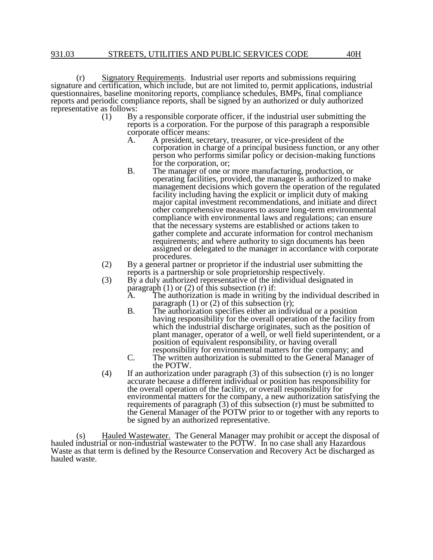(r) Signatory Requirements. Industrial user reports and submissions requiring signature and certification, which include, but are not limited to, permit applications, industrial questionnaires, baseline monitoring reports, compliance schedules, BMPs, final compliance reports and periodic compliance reports, shall be signed by an authorized or duly authorized representative as follows:

- (1) By a responsible corporate officer, if the industrial user submitting the reports is a corporation. For the purpose of this paragraph a responsible corporate officer means:
	- A. A president, secretary, treasurer, or vice-president of the corporation in charge of a principal business function, or any other person who performs similar policy or decision-making functions for the corporation, or;
	- B. The manager of one or more manufacturing, production, or operating facilities, provided, the manager is authorized to make management decisions which govern the operation of the regulated facility including having the explicit or implicit duty of making major capital investment recommendations, and initiate and direct other comprehensive measures to assure long-term environmental compliance with environmental laws and regulations; can ensure that the necessary systems are established or actions taken to gather complete and accurate information for control mechanism requirements; and where authority to sign documents has been assigned or delegated to the manager in accordance with corporate procedures.
- (2) By a general partner or proprietor if the industrial user submitting the reports is a partnership or sole proprietorship respectively.
- (3) By a duly authorized representative of the individual designated in paragraph  $(1)$  or  $(2)$  of this subsection  $(r)$  if:<br>A The authorization is made in writing
	- The authorization is made in writing by the individual described in paragraph  $(1)$  or  $(2)$  of this subsection  $(r)$ ;
	- B. The authorization specifies either an individual or a position having responsibility for the overall operation of the facility from which the industrial discharge originates, such as the position of plant manager, operator of a well, or well field superintendent, or a position of equivalent responsibility, or having overall responsibility for environmental matters for the company; and
	- C. The written authorization is submitted to the General Manager of the POTW.
- (4) If an authorization under paragraph (3) of this subsection (r) is no longer accurate because a different individual or position has responsibility for the overall operation of the facility, or overall responsibility for environmental matters for the company, a new authorization satisfying the requirements of paragraph (3) of this subsection (r) must be submitted to the General Manager of the POTW prior to or together with any reports to be signed by an authorized representative.

(s) Hauled Wastewater. The General Manager may prohibit or accept the disposal of hauled industrial or non-industrial wastewater to the POTW. In no case shall any Hazardous Waste as that term is defined by the Resource Conservation and Recovery Act be discharged as hauled waste.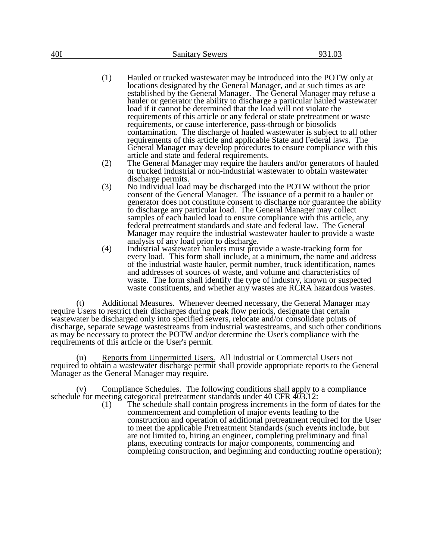- (1) Hauled or trucked wastewater may be introduced into the POTW only at locations designated by the General Manager, and at such times as are established by the General Manager. The General Manager may refuse a hauler or generator the ability to discharge a particular hauled wastewater load if it cannot be determined that the load will not violate the requirements of this article or any federal or state pretreatment or waste requirements, or cause interference, pass-through or biosolids contamination. The discharge of hauled wastewater is subject to all other requirements of this article and applicable State and Federal laws. The General Manager may develop procedures to ensure compliance with this article and state and federal requirements.
- (2) The General Manager may require the haulers and/or generators of hauled or trucked industrial or non-industrial wastewater to obtain wastewater discharge permits.
- (3) No individual load may be discharged into the POTW without the prior consent of the General Manager. The issuance of a permit to a hauler or generator does not constitute consent to discharge nor guarantee the ability to discharge any particular load. The General Manager may collect samples of each hauled load to ensure compliance with this article, any federal pretreatment standards and state and federal law. The General Manager may require the industrial wastewater hauler to provide a waste analysis of any load prior to discharge.
- (4) Industrial wastewater haulers must provide a waste-tracking form for every load. This form shall include, at a minimum, the name and address of the industrial waste hauler, permit number, truck identification, names and addresses of sources of waste, and volume and characteristics of waste. The form shall identify the type of industry, known or suspected waste constituents, and whether any wastes are RCRA hazardous wastes.

(t) Additional Measures. Whenever deemed necessary, the General Manager may require Users to restrict their discharges during peak flow periods, designate that certain wastewater be discharged only into specified sewers, relocate and/or consolidate points of discharge, separate sewage wastestreams from industrial wastestreams, and such other conditions as may be necessary to protect the POTW and/or determine the User's compliance with the requirements of this article or the User's permit.

(u) Reports from Unpermitted Users. All Industrial or Commercial Users not required to obtain a wastewater discharge permit shall provide appropriate reports to the General Manager as the General Manager may require.

Compliance Schedules. The following conditions shall apply to a compliance schedule for meeting categorical pretreatment standards under 40 CFR 403.12:

(1) The schedule shall contain progress increments in the form of dates for the commencement and completion of major events leading to the construction and operation of additional pretreatment required for the User to meet the applicable Pretreatment Standards (such events include, but are not limited to, hiring an engineer, completing preliminary and final plans, executing contracts for major components, commencing and completing construction, and beginning and conducting routine operation);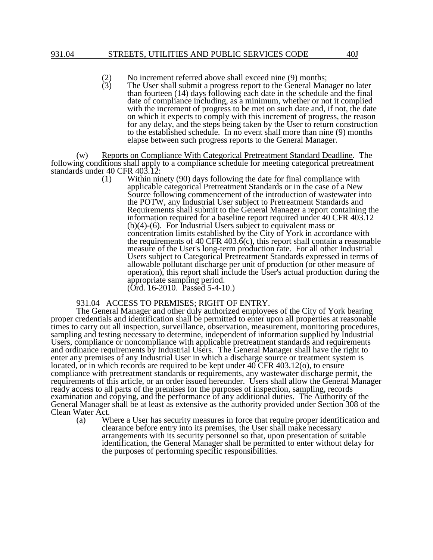### 931.04 STREETS, UTILITIES AND PUBLIC SERVICES CODE 40J

- (2) No increment referred above shall exceed nine (9) months;<br>(3) The User shall submit a progress report to the General Man
	- The User shall submit a progress report to the General Manager no later than fourteen (14) days following each date in the schedule and the final date of compliance including, as a minimum, whether or not it complied with the increment of progress to be met on such date and, if not, the date on which it expects to comply with this increment of progress, the reason for any delay, and the steps being taken by the User to return construction to the established schedule. In no event shall more than nine (9) months elapse between such progress reports to the General Manager.

(w) Reports on Compliance With Categorical Pretreatment Standard Deadline. The following conditions shall apply to a compliance schedule for meeting categorical pretreatment standards under 40 CFR 403.12:

(1) Within ninety (90) days following the date for final compliance with applicable categorical Pretreatment Standards or in the case of a New Source following commencement of the introduction of wastewater into the POTW, any Industrial User subject to Pretreatment Standards and Requirements shall submit to the General Manager a report containing the information required for a baseline report required under 40 CFR 403.12 (b)(4)-(6). For Industrial Users subject to equivalent mass or concentration limits established by the City of York in accordance with the requirements of 40 CFR 403.6(c), this report shall contain a reasonable measure of the User's long-term production rate. For all other Industrial Users subject to Categorical Pretreatment Standards expressed in terms of allowable pollutant discharge per unit of production (or other measure of operation), this report shall include the User's actual production during the appropriate sampling period. (Ord. 16-2010. Passed 5-4-10.)

## 931.04 ACCESS TO PREMISES; RIGHT OF ENTRY.

The General Manager and other duly authorized employees of the City of York bearing proper credentials and identification shall be permitted to enter upon all properties at reasonable times to carry out all inspection, surveillance, observation, measurement, monitoring procedures, sampling and testing necessary to determine, independent of information supplied by Industrial Users, compliance or noncompliance with applicable pretreatment standards and requirements and ordinance requirements by Industrial Users. The General Manager shall have the right to enter any premises of any Industrial User in which a discharge source or treatment system is located, or in which records are required to be kept under  $40^{\circ}$ CFR  $403.12$ (o), to ensure compliance with pretreatment standards or requirements, any wastewater discharge permit, the requirements of this article, or an order issued hereunder. Users shall allow the General Manager ready access to all parts of the premises for the purposes of inspection, sampling, records examination and copying, and the performance of any additional duties. The Authority of the General Manager shall be at least as extensive as the authority provided under Section 308 of the Clean Water Act.<br>(a) W

Where a User has security measures in force that require proper identification and clearance before entry into its premises, the User shall make necessary arrangements with its security personnel so that, upon presentation of suitable identification, the General Manager shall be permitted to enter without delay for the purposes of performing specific responsibilities.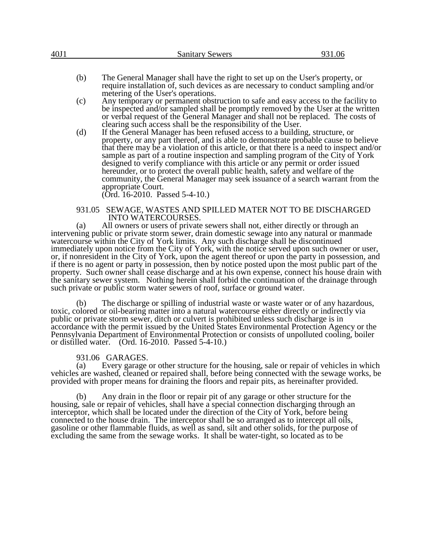| 40J1 |     | <b>Sanitary Sewers</b>                                                                                                                                                                                                                                                                                                                                                                                                                                                                                                                                                                                                                                       | 931.06 |
|------|-----|--------------------------------------------------------------------------------------------------------------------------------------------------------------------------------------------------------------------------------------------------------------------------------------------------------------------------------------------------------------------------------------------------------------------------------------------------------------------------------------------------------------------------------------------------------------------------------------------------------------------------------------------------------------|--------|
|      |     |                                                                                                                                                                                                                                                                                                                                                                                                                                                                                                                                                                                                                                                              |        |
|      | (b) | The General Manager shall have the right to set up on the User's property, or<br>require installation of, such devices as are necessary to conduct sampling and/or<br>metering of the User's operations.                                                                                                                                                                                                                                                                                                                                                                                                                                                     |        |
|      | (c) | Any temporary or permanent obstruction to safe and easy access to the facility to<br>be inspected and/or sampled shall be promptly removed by the User at the written<br>or verbal request of the General Manager and shall not be replaced. The costs of<br>clearing such access shall be the responsibility of the User.                                                                                                                                                                                                                                                                                                                                   |        |
|      | (d) | If the General Manager has been refused access to a building, structure, or<br>property, or any part thereof, and is able to demonstrate probable cause to believe<br>that there may be a violation of this article, or that there is a need to inspect and/or<br>sample as part of a routine inspection and sampling program of the City of York<br>designed to verify compliance with this article or any permit or order issued<br>hereunder, or to protect the overall public health, safety and welfare of the<br>community, the General Manager may seek issuance of a search warrant from the<br>appropriate Court.<br>(Ord. 16-2010. Passed 5-4-10.) |        |
|      |     |                                                                                                                                                                                                                                                                                                                                                                                                                                                                                                                                                                                                                                                              |        |

### 931.05 SEWAGE, WASTES AND SPILLED MATER NOT TO BE DISCHARGED INTO WATERCOURSES.

(a) All owners or users of private sewers shall not, either directly or through an intervening public or private storm sewer, drain domestic sewage into any natural or manmade watercourse within the City of York limits. Any such discharge shall be discontinued immediately upon notice from the City of York, with the notice served upon such owner or user, or, if nonresident in the City of York, upon the agent thereof or upon the party in possession, and if there is no agent or party in possession, then by notice posted upon the most public part of the property. Such owner shall cease discharge and at his own expense, connect his house drain with the sanitary sewer system. Nothing herein shall forbid the continuation of the drainage through such private or public storm water sewers of roof, surface or ground water.

(b) The discharge or spilling of industrial waste or waste water or of any hazardous, toxic, colored or oil-bearing matter into a natural watercourse either directly or indirectly via public or private storm sewer, ditch or culvert is prohibited unless such discharge is in accordance with the permit issued by the United States Environmental Protection Agency or the Pennsylvania Department of Environmental Protection or consists of unpolluted cooling, boiler or distilled water. (Ord. 16-2010. Passed 5-4-10.)

# 931.06 GARAGES.

(a) Every garage or other structure for the housing, sale or repair of vehicles in which vehicles are washed, cleaned or repaired shall, before being connected with the sewage works, be provided with proper means for draining the floors and repair pits, as hereinafter provided.

(b) Any drain in the floor or repair pit of any garage or other structure for the housing, sale or repair of vehicles, shall have a special connection discharging through an interceptor, which shall be located under the direction of the City of York, before being connected to the house drain. The interceptor shall be so arranged as to intercept all oils, gasoline or other flammable fluids, as well as sand, silt and other solids, for the purpose of excluding the same from the sewage works. It shall be water-tight, so located as to be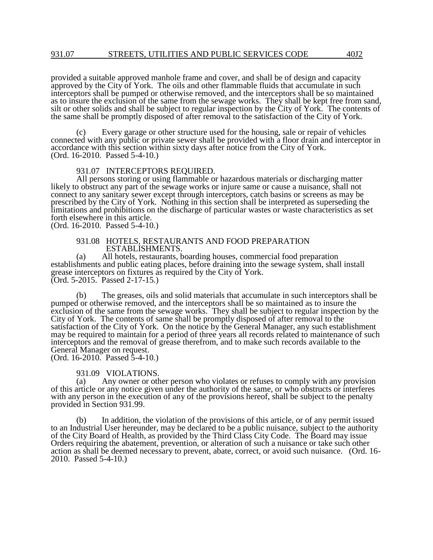provided a suitable approved manhole frame and cover, and shall be of design and capacity approved by the City of York. The oils and other flammable fluids that accumulate in such interceptors shall be pumped or otherwise removed, and the interceptors shall be so maintained as to insure the exclusion of the same from the sewage works. They shall be kept free from sand, silt or other solids and shall be subject to regular inspection by the City of York. The contents of the same shall be promptly disposed of after removal to the satisfaction of the City of York.

Every garage or other structure used for the housing, sale or repair of vehicles connected with any public or private sewer shall be provided with a floor drain and interceptor in accordance with this section within sixty days after notice from the City of York. (Ord. 16-2010. Passed 5-4-10.)

## 931.07 INTERCEPTORS REQUIRED.

All persons storing or using flammable or hazardous materials or discharging matter likely to obstruct any part of the sewage works or injure same or cause a nuisance, shall not connect to any sanitary sewer except through interceptors, catch basins or screens as may be prescribed by the City of York. Nothing in this section shall be interpreted as superseding the limitations and prohibitions on the discharge of particular wastes or waste characteristics as set forth elsewhere in this article. (Ord. 16-2010. Passed 5-4-10.)

## 931.08 HOTELS, RESTAURANTS AND FOOD PREPARATION ESTABLISHMENTS.

(a) All hotels, restaurants, boarding houses, commercial food preparation establishments and public eating places, before draining into the sewage system, shall install grease interceptors on fixtures as required by the City of York. (Ord. 5-2015. Passed 2-17-15.)

(b) The greases, oils and solid materials that accumulate in such interceptors shall be pumped or otherwise removed, and the interceptors shall be so maintained as to insure the exclusion of the same from the sewage works. They shall be subject to regular inspection by the City of York. The contents of same shall be promptly disposed of after removal to the satisfaction of the City of York. On the notice by the General Manager, any such establishment may be required to maintain for a period of three years all records related to maintenance of such interceptors and the removal of grease therefrom, and to make such records available to the General Manager on request. (Ord. 16-2010. Passed 5-4-10.)

# 931.09 VIOLATIONS.<br>(a) Any owner or oth

Any owner or other person who violates or refuses to comply with any provision of this article or any notice given under the authority of the same, or who obstructs or interferes with any person in the execution of any of the provisions hereof, shall be subject to the penalty provided in Section 931.99.

(b) In addition, the violation of the provisions of this article, or of any permit issued to an Industrial User hereunder, may be declared to be a public nuisance, subject to the authority of the City Board of Health, as provided by the Third Class City Code. The Board may issue Orders requiring the abatement, prevention, or alteration of such a nuisance or take such other action as shall be deemed necessary to prevent, abate, correct, or avoid such nuisance. (Ord. 16- 2010. Passed 5-4-10.)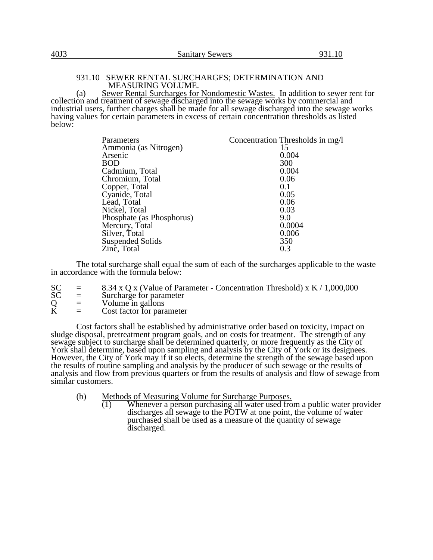# 931.10 SEWER RENTAL SURCHARGES; DETERMINATION AND MEASURING VOLUME.

(a) Sewer Rental Surcharges for Nondomestic Wastes. In addition to sewer rent for collection and treatment of sewage discharged into the sewage works by commercial and industrial users, further charges shall be made for all sewage discharged into the sewage works having values for certain parameters in excess of certain concentration thresholds as listed below:

| Parameters                | Concentration Thresholds in mg/l |
|---------------------------|----------------------------------|
| Ammonia (as Nitrogen)     | 15                               |
| Arsenic                   | 0.004                            |
| <b>BOD</b>                | 300                              |
| Cadmium, Total            | 0.004                            |
| Chromium, Total           | 0.06                             |
| Copper, Total             | 0.1                              |
| Cyanide, Total            | 0.05                             |
| Lead, Total               | 0.06                             |
| Nickel, Total             | 0.03                             |
| Phosphate (as Phosphorus) | 9.0                              |
| Mercury, Total            | 0.0004                           |
| Silver, Total             | 0.006                            |
| <b>Suspended Solids</b>   | 350                              |
| Zinc, Total               | 0.3                              |

The total surcharge shall equal the sum of each of the surcharges applicable to the waste in accordance with the formula below:

- SC = 8.34 x Q x (Value of Parameter Concentration Threshold) x K / 1,000,000<br>SC = Surcharge for parameter
- $SC =$  Surcharge for parameter<br>  $Q =$  Volume in gallons<br>  $K =$  Cost factor for parameter
- $=$  Volume in gallons
- $=$  Cost factor for parameter

Cost factors shall be established by administrative order based on toxicity, impact on sludge disposal, pretreatment program goals, and on costs for treatment. The strength of any sewage subject to surcharge shall be determined quarterly, or more frequently as the City of York shall determine, based upon sampling and analysis by the City of York or its designees. However, the City of York may if it so elects, determine the strength of the sewage based upon the results of routine sampling and analysis by the producer of such sewage or the results of analysis and flow from previous quarters or from the results of analysis and flow of sewage from similar customers.

- (b) Methods of Measuring Volume for Surcharge Purposes.<br>  $\overline{(1)}$  Whenever a person purchasing all water used from
	- Whenever a person purchasing all water used from a public water provider discharges all sewage to the POTW at one point, the volume of water purchased shall be used as a measure of the quantity of sewage discharged.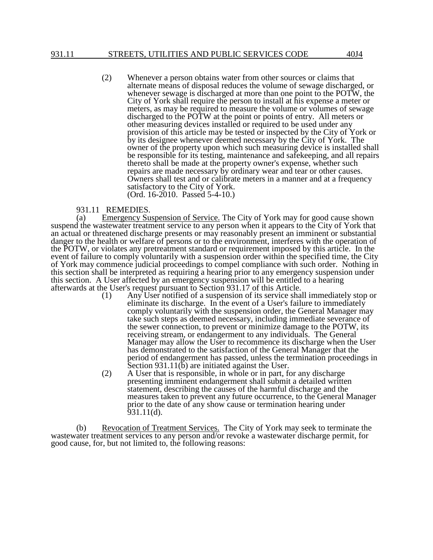(2) Whenever a person obtains water from other sources or claims that alternate means of disposal reduces the volume of sewage discharged, or whenever sewage is discharged at more than one point to the POTW, the City of York shall require the person to install at his expense a meter or meters, as may be required to measure the volume or volumes of sewage discharged to the POTW at the point or points of entry. All meters or other measuring devices installed or required to be used under any provision of this article may be tested or inspected by the City of York or by its designee whenever deemed necessary by the City of York. The owner of the property upon which such measuring device is installed shall be responsible for its testing, maintenance and safekeeping, and all repairs thereto shall be made at the property owner's expense, whether such repairs are made necessary by ordinary wear and tear or other causes. Owners shall test and or calibrate meters in a manner and at a frequency satisfactory to the City of York. (Ord. 16-2010. Passed 5-4-10.)

## 931.11 REMEDIES.

(a) Emergency Suspension of Service. The City of York may for good cause shown suspend the wastewater treatment service to any person when it appears to the City of York that an actual or threatened discharge presents or may reasonably present an imminent or substantial danger to the health or welfare of persons or to the environment, interferes with the operation of the POTW, or violates any pretreatment standard or requirement imposed by this article. In the event of failure to comply voluntarily with a suspension order within the specified time, the City of York may commence judicial proceedings to compel compliance with such order. Nothing in this section shall be interpreted as requiring a hearing prior to any emergency suspension under this section. A User affected by an emergency suspension will be entitled to a hearing afterwards at the User's request pursuant to Section 931.17 of this Article.

- Any User notified of a suspension of its service shall immediately stop or eliminate its discharge. In the event of a User's failure to immediately comply voluntarily with the suspension order, the General Manager may take such steps as deemed necessary, including immediate severance of the sewer connection, to prevent or minimize damage to the POTW, its receiving stream, or endangerment to any individuals. The General Manager may allow the User to recommence its discharge when the User has demonstrated to the satisfaction of the General Manager that the period of endangerment has passed, unless the termination proceedings in Section 931.11(b) are initiated against the User.
- (2) A User that is responsible, in whole or in part, for any discharge presenting imminent endangerment shall submit a detailed written statement, describing the causes of the harmful discharge and the measures taken to prevent any future occurrence, to the General Manager prior to the date of any show cause or termination hearing under 931.11(d).

(b) Revocation of Treatment Services. The City of York may seek to terminate the wastewater treatment services to any person and/or revoke a wastewater discharge permit, for good cause, for, but not limited to, the following reasons: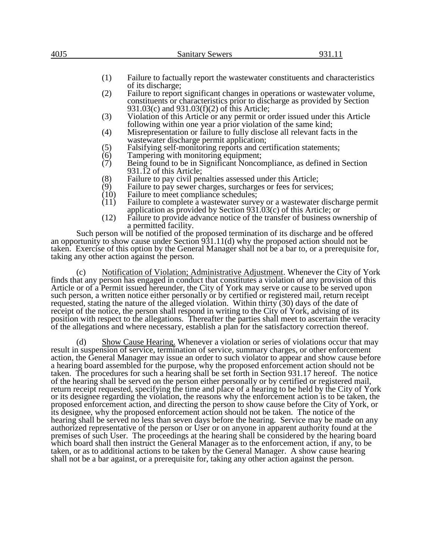| --<br>Sanitary Sewers |  |
|-----------------------|--|
|                       |  |
|                       |  |
|                       |  |

- (1) Failure to factually report the wastewater constituents and characteristics of its discharge;
- (2) Failure to report significant changes in operations or wastewater volume, constituents or characteristics prior to discharge as provided by Section 931.03(c) and 931.03(f)(2) of this Article;
- (3) Violation of this Article or any permit or order issued under this Article following within one year a prior violation of the same kind;
- (4) Misrepresentation or failure to fully disclose all relevant facts in the wastewater discharge permit application;
- (5) Falsifying self-monitoring reports and certification statements;<br>(6) Tampering with monitoring equipment;
- (6) Tampering with monitoring equipment;<br>(7) Being found to be in Significant Noncor
- Being found to be in Significant Noncompliance, as defined in Section 931.12 of this Article;
- (8) Failure to pay civil penalties assessed under this Article;<br>(9) Failure to pay sewer charges, surcharges or fees for servi
- (9) Failure to pay sewer charges, surcharges or fees for services;<br>(10) Failure to meet compliance schedules;
- $(10)$  Failure to meet compliance schedules;<br> $(11)$  Failure to complete a wastewater surve
- Failure to complete a wastewater survey or a wastewater discharge permit application as provided by Section 931.03(c) of this Article; or
- (12) Failure to provide advance notice of the transfer of business ownership of a permitted facility.

Such person will be notified of the proposed termination of its discharge and be offered an opportunity to show cause under Section 931.11(d) why the proposed action should not be taken. Exercise of this option by the General Manager shall not be a bar to, or a prerequisite for, taking any other action against the person.

(c) Notification of Violation; Administrative Adjustment. Whenever the City of York finds that any person has engaged in conduct that constitutes a violation of any provision of this Article or of a Permit issued hereunder, the City of York may serve or cause to be served upon such person, a written notice either personally or by certified or registered mail, return receipt requested, stating the nature of the alleged violation. Within thirty (30) days of the date of receipt of the notice, the person shall respond in writing to the City of York, advising of its position with respect to the allegations. Thereafter the parties shall meet to ascertain the veracity of the allegations and where necessary, establish a plan for the satisfactory correction thereof.

(d) Show Cause Hearing. Whenever a violation or series of violations occur that may result in suspension of service, termination of service, summary charges, or other enforcement action, the General Manager may issue an order to such violator to appear and show cause before a hearing board assembled for the purpose, why the proposed enforcement action should not be taken. The procedures for such a hearing shall be set forth in Section 931.17 hereof. The notice of the hearing shall be served on the person either personally or by certified or registered mail, return receipt requested, specifying the time and place of a hearing to be held by the City of York or its designee regarding the violation, the reasons why the enforcement action is to be taken, the proposed enforcement action, and directing the person to show cause before the City of York, or its designee, why the proposed enforcement action should not be taken. The notice of the hearing shall be served no less than seven days before the hearing. Service may be made on any authorized representative of the person or User or on anyone in apparent authority found at the premises of such User. The proceedings at the hearing shall be considered by the hearing board which board shall then instruct the General Manager as to the enforcement action, if any, to be taken, or as to additional actions to be taken by the General Manager. A show cause hearing shall not be a bar against, or a prerequisite for, taking any other action against the person.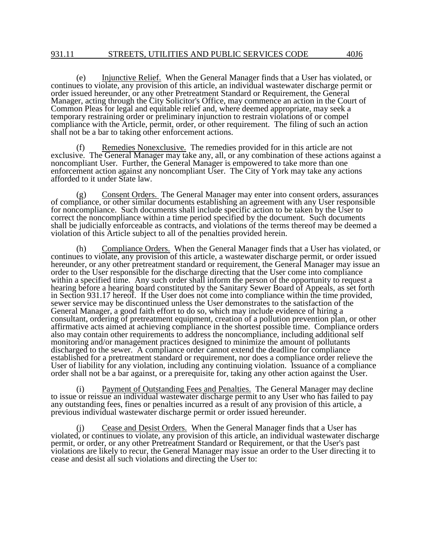(e) Injunctive Relief. When the General Manager finds that a User has violated, or continues to violate, any provision of this article, an individual wastewater discharge permit or order issued hereunder, or any other Pretreatment Standard or Requirement, the General Manager, acting through the City Solicitor's Office, may commence an action in the Court of Common Pleas for legal and equitable relief and, where deemed appropriate, may seek a temporary restraining order or preliminary injunction to restrain violations of or compel compliance with the Article, permit, order, or other requirement. The filing of such an action shall not be a bar to taking other enforcement actions.

(f) Remedies Nonexclusive. The remedies provided for in this article are not exclusive. The General Manager may take any, all, or any combination of these actions against a noncompliant User. Further, the General Manager is empowered to take more than one enforcement action against any noncompliant User. The City of York may take any actions afforded to it under State law.

Consent Orders. The General Manager may enter into consent orders, assurances of compliance, or other similar documents establishing an agreement with any User responsible for noncompliance. Such documents shall include specific action to be taken by the User to correct the noncompliance within a time period specified by the document. Such documents shall be judicially enforceable as contracts, and violations of the terms thereof may be deemed a violation of this Article subject to all of the penalties provided herein.

(h) Compliance Orders. When the General Manager finds that a User has violated, or continues to violate, any provision of this article, a wastewater discharge permit, or order issued hereunder, or any other pretreatment standard or requirement, the General Manager may issue an order to the User responsible for the discharge directing that the User come into compliance within a specified time. Any such order shall inform the person of the opportunity to request a hearing before a hearing board constituted by the Sanitary Sewer Board of Appeals, as set forth in Section 931.17 hereof. If the User does not come into compliance within the time provided, sewer service may be discontinued unless the User demonstrates to the satisfaction of the General Manager, a good faith effort to do so, which may include evidence of hiring a consultant, ordering of pretreatment equipment, creation of a pollution prevention plan, or other affirmative acts aimed at achieving compliance in the shortest possible time. Compliance orders also may contain other requirements to address the noncompliance, including additional self monitoring and/or management practices designed to minimize the amount of pollutants discharged to the sewer. A compliance order cannot extend the deadline for compliance established for a pretreatment standard or requirement, nor does a compliance order relieve the User of liability for any violation, including any continuing violation. Issuance of a compliance order shall not be a bar against, or a prerequisite for, taking any other action against the User.

(i) Payment of Outstanding Fees and Penalties. The General Manager may decline to issue or reissue an individual wastewater discharge permit to any User who has failed to pay any outstanding fees, fines or penalties incurred as a result of any provision of this article, a previous individual wastewater discharge permit or order issued hereunder.

Cease and Desist Orders. When the General Manager finds that a User has violated, or continues to violate, any provision of this article, an individual wastewater discharge permit, or order, or any other Pretreatment Standard or Requirement, or that the User's past violations are likely to recur, the General Manager may issue an order to the User directing it to cease and desist all such violations and directing the User to: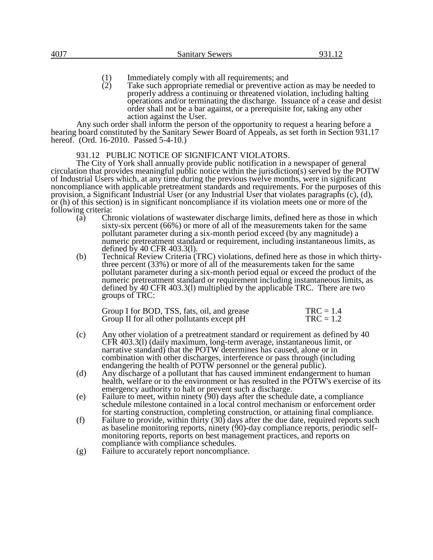- (1) Immediately comply with all requirements; and<br>
(2) Take such appropriate remedial or preventive ac
- Take such appropriate remedial or preventive action as may be needed to properly address a continuing or threatened violation, including halting operations and/or terminating the discharge. Issuance of a cease and desist order shall not be a bar against, or a prerequisite for, taking any other action against the User.

Any such order shall inform the person of the opportunity to request a hearing before a hearing board constituted by the Sanitary Sewer Board of Appeals, as set forth in Section 931.17 hereof. (Ord. 16-2010. Passed 5-4-10.)

# 931.12 PUBLIC NOTICE OF SIGNIFICANT VIOLATORS.

The City of York shall annually provide public notification in a newspaper of general circulation that provides meaningful public notice within the jurisdiction(s) served by the POTW of Industrial Users which, at any time during the previous twelve months, were in significant noncompliance with applicable pretreatment standards and requirements. For the purposes of this provision, a Significant Industrial User (or any Industrial User that violates paragraphs (c), (d), or (h) of this section) is in significant noncompliance if its violation meets one or more of the following criteria:

- (a) Chronic violations of wastewater discharge limits, defined here as those in which sixty-six percent (66%) or more of all of the measurements taken for the same pollutant parameter during a six-month period exceed (by any magnitude) a numeric pretreatment standard or requirement, including instantaneous limits, as defined by 40 CFR 403.3(l).
- (b) Technical Review Criteria (TRC) violations, defined here as those in which thirtythree percent (33%) or more of all of the measurements taken for the same pollutant parameter during a six-month period equal or exceed the product of the numeric pretreatment standard or requirement including instantaneous limits, as defined by 40 CFR 403.3(l) multiplied by the applicable TRC. There are two groups of TRC:

| Group I for BOD, TSS, fats, oil, and grease | $TRC = 1.4$ |
|---------------------------------------------|-------------|
| Group II for all other pollutants except pH | $TRC = 1.2$ |

- (c) Any other violation of a pretreatment standard or requirement as defined by 40 CFR 403.3(l) (daily maximum, long-term average, instantaneous limit, or narrative standard) that the POTW determines has caused, alone or in combination with other discharges, interference or pass through (including endangering the health of POTW personnel or the general public).
- (d) Any discharge of a pollutant that has caused imminent endangerment to human health, welfare or to the environment or has resulted in the POTW's exercise of its emergency authority to halt or prevent such a discharge.
- (e) Failure to meet, within ninety (90) days after the schedule date, a compliance schedule milestone contained in a local control mechanism or enforcement order for starting construction, completing construction, or attaining final compliance.
- (f) Failure to provide, within thirty (30) days after the due date, required reports such as baseline monitoring reports, ninety (90)-day compliance reports, periodic selfmonitoring reports, reports on best management practices, and reports on compliance with compliance schedules.
- (g) Failure to accurately report noncompliance.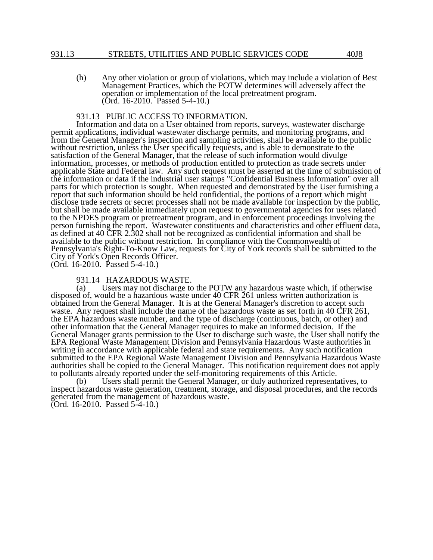## 931.13 STREETS, UTILITIES AND PUBLIC SERVICES CODE 40J8

(h) Any other violation or group of violations, which may include a violation of Best Management Practices, which the POTW determines will adversely affect the operation or implementation of the local pretreatment program. (Ord. 16-2010. Passed 5-4-10.)

# 931.13 PUBLIC ACCESS TO INFORMATION.

Information and data on a User obtained from reports, surveys, wastewater discharge permit applications, individual wastewater discharge permits, and monitoring programs, and from the General Manager's inspection and sampling activities, shall be available to the public without restriction, unless the User specifically requests, and is able to demonstrate to the satisfaction of the General Manager, that the release of such information would divulge information, processes, or methods of production entitled to protection as trade secrets under applicable State and Federal law. Any such request must be asserted at the time of submission of the information or data if the industrial user stamps "Confidential Business Information" over all parts for which protection is sought. When requested and demonstrated by the User furnishing a report that such information should be held confidential, the portions of a report which might disclose trade secrets or secret processes shall not be made available for inspection by the public, but shall be made available immediately upon request to governmental agencies for uses related to the NPDES program or pretreatment program, and in enforcement proceedings involving the person furnishing the report. Wastewater constituents and characteristics and other effluent data, as defined at 40 CFR 2.302 shall not be recognized as confidential information and shall be available to the public without restriction. In compliance with the Commonwealth of Pennsylvania's Right-To-Know Law, requests for City of York records shall be submitted to the City of York's Open Records Officer.

(Ord. 16-2010. Passed 5-4-10.)

# 931.14 HAZARDOUS WASTE.

(a) Users may not discharge to the POTW any hazardous waste which, if otherwise disposed of, would be a hazardous waste under 40 CFR 261 unless written authorization is obtained from the General Manager. It is at the General Manager's discretion to accept such waste. Any request shall include the name of the hazardous waste as set forth in 40 CFR 261, the EPA hazardous waste number, and the type of discharge (continuous, batch, or other) and other information that the General Manager requires to make an informed decision. If the General Manager grants permission to the User to discharge such waste, the User shall notify the EPA Regional Waste Management Division and Pennsylvania Hazardous Waste authorities in writing in accordance with applicable federal and state requirements. Any such notification submitted to the EPA Regional Waste Management Division and Pennsylvania Hazardous Waste authorities shall be copied to the General Manager. This notification requirement does not apply to pollutants already reported under the self-monitoring requirements of this Article.<br>(b) Users shall permit the General Manager, or duly authorized representation

Users shall permit the General Manager, or duly authorized representatives, to inspect hazardous waste generation, treatment, storage, and disposal procedures, and the records generated from the management of hazardous waste. (Ord. 16-2010. Passed 5-4-10.)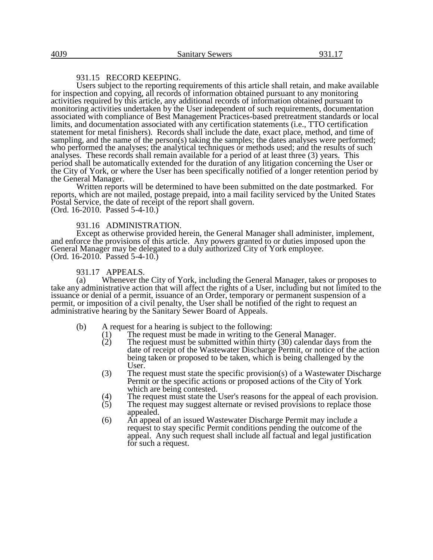# 931.15 RECORD KEEPING.

Users subject to the reporting requirements of this article shall retain, and make available for inspection and copying, all records of information obtained pursuant to any monitoring activities required by this article, any additional records of information obtained pursuant to monitoring activities undertaken by the User independent of such requirements, documentation associated with compliance of Best Management Practices-based pretreatment standards or local limits, and documentation associated with any certification statements (i.e., TTO certification statement for metal finishers). Records shall include the date, exact place, method, and time of sampling, and the name of the person(s) taking the samples; the dates analyses were performed; who performed the analyses; the analytical techniques or methods used; and the results of such analyses. These records shall remain available for a period of at least three (3) years. This period shall be automatically extended for the duration of any litigation concerning the User or the City of York, or where the User has been specifically notified of a longer retention period by the General Manager.

Written reports will be determined to have been submitted on the date postmarked. For reports, which are not mailed, postage prepaid, into a mail facility serviced by the United States Postal Service, the date of receipt of the report shall govern. (Ord. 16-2010. Passed 5-4-10.)

## 931.16 ADMINISTRATION.

Except as otherwise provided herein, the General Manager shall administer, implement, and enforce the provisions of this article. Any powers granted to or duties imposed upon the General Manager may be delegated to a duly authorized City of York employee. (Ord. 16-2010. Passed 5-4-10.)

## 931.17 APPEALS.

(a) Whenever the City of York, including the General Manager, takes or proposes to take any administrative action that will affect the rights of a User, including but not limited to the issuance or denial of a permit, issuance of an Order, temporary or permanent suspension of a permit, or imposition of a civil penalty, the User shall be notified of the right to request an administrative hearing by the Sanitary Sewer Board of Appeals.

- (b) A request for a hearing is subject to the following:
	- (1) The request must be made in writing to the General Manager.<br>
	(2) The request must be submitted within thirty (30) calendar day.
	- The request must be submitted within thirty  $(30)$  calendar days from the date of receipt of the Wastewater Discharge Permit, or notice of the action being taken or proposed to be taken, which is being challenged by the User.
	- (3) The request must state the specific provision(s) of a Wastewater Discharge Permit or the specific actions or proposed actions of the City of York which are being contested.
	- (4) The request must state the User's reasons for the appeal of each provision.<br>
	(5) The request may suggest alternate or revised provisions to replace those
	- The request may suggest alternate or revised provisions to replace those appealed.
	- (6) An appeal of an issued Wastewater Discharge Permit may include a request to stay specific Permit conditions pending the outcome of the appeal. Any such request shall include all factual and legal justification for such a request.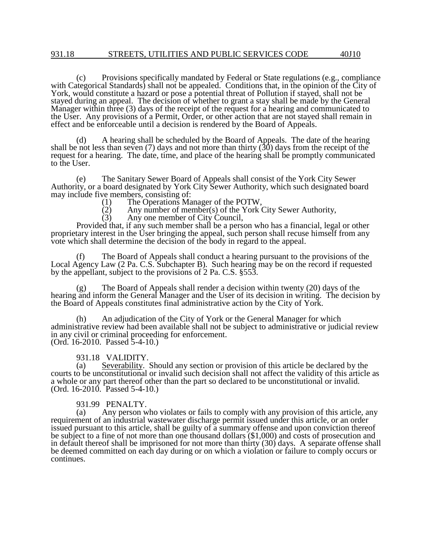(c) Provisions specifically mandated by Federal or State regulations (e.g., compliance with Categorical Standards) shall not be appealed. Conditions that, in the opinion of the City of York, would constitute a hazard or pose a potential threat of Pollution if stayed, shall not be stayed during an appeal. The decision of whether to grant a stay shall be made by the General Manager within three (3) days of the receipt of the request for a hearing and communicated to the User. Any provisions of a Permit, Order, or other action that are not stayed shall remain in effect and be enforceable until a decision is rendered by the Board of Appeals.

(d) A hearing shall be scheduled by the Board of Appeals. The date of the hearing shall be not less than seven (7) days and not more than thirty (30) days from the receipt of the request for a hearing. The date, time, and place of the hearing shall be promptly communicated to the User.

(e) The Sanitary Sewer Board of Appeals shall consist of the York City Sewer Authority, or a board designated by York City Sewer Authority, which such designated board may include five members, consisting of:<br>(1) The Operations Ma

- (1) The Operations Manager of the POTW,<br>(2) Any number of member(s) of the York (
- $\hat{f}(2)$  Any number of member(s) of the York City Sewer Authority,<br>(3) Any one member of City Council,

Any one member of City Council,

Provided that, if any such member shall be a person who has a financial, legal or other proprietary interest in the User bringing the appeal, such person shall recuse himself from any vote which shall determine the decision of the body in regard to the appeal.

(f) The Board of Appeals shall conduct a hearing pursuant to the provisions of the Local Agency Law (2 Pa. C.S. Subchapter B). Such hearing may be on the record if requested by the appellant, subject to the provisions of 2 Pa. C.S. §553.

(g) The Board of Appeals shall render a decision within twenty (20) days of the hearing and inform the General Manager and the User of its decision in writing. The decision by the Board of Appeals constitutes final administrative action by the City of York.

(h) An adjudication of the City of York or the General Manager for which administrative review had been available shall not be subject to administrative or judicial review in any civil or criminal proceeding for enforcement. (Ord. 16-2010. Passed 5-4-10.)

931.18 VALIDITY.

(a) Severability. Should any section or provision of this article be declared by the courts to be unconstitutional or invalid such decision shall not affect the validity of this article as a whole or any part thereof other than the part so declared to be unconstitutional or invalid. (Ord. 16-2010. Passed 5-4-10.)

## 931.99 PENALTY.

(a) Any person who violates or fails to comply with any provision of this article, any requirement of an industrial wastewater discharge permit issued under this article, or an order issued pursuant to this article, shall be guilty of a summary offense and upon conviction thereof be subject to a fine of not more than one thousand dollars (\$1,000) and costs of prosecution and in default thereof shall be imprisoned for not more than thirty (30) days. A separate offense shall be deemed committed on each day during or on which a violation or failure to comply occurs or continues.